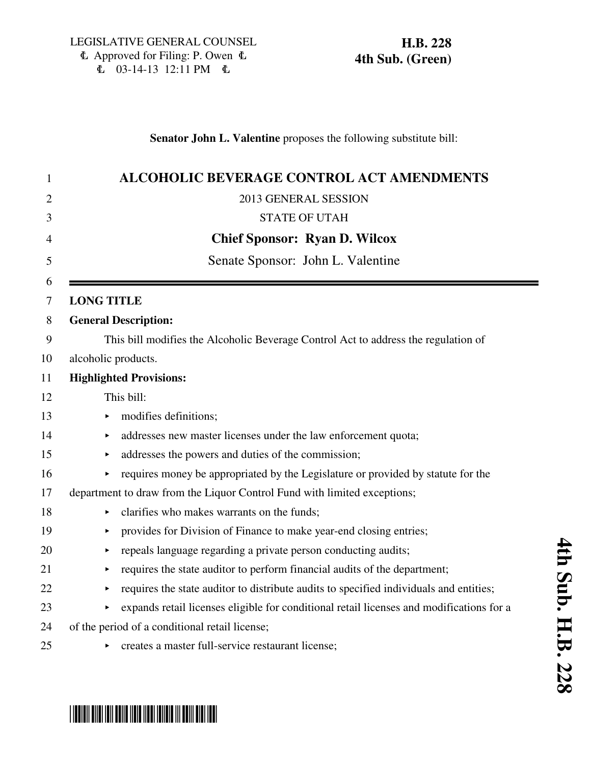### **Senator John L. Valentine** proposes the following substitute bill:

| 1              | <b>ALCOHOLIC BEVERAGE CONTROL ACT AMENDMENTS</b>                                         |
|----------------|------------------------------------------------------------------------------------------|
| $\overline{2}$ | 2013 GENERAL SESSION                                                                     |
| 3              | <b>STATE OF UTAH</b>                                                                     |
| $\overline{4}$ | <b>Chief Sponsor: Ryan D. Wilcox</b>                                                     |
| 5              | Senate Sponsor: John L. Valentine                                                        |
| 6              |                                                                                          |
| 7              | <b>LONG TITLE</b>                                                                        |
| 8              | <b>General Description:</b>                                                              |
| 9              | This bill modifies the Alcoholic Beverage Control Act to address the regulation of       |
| 10             | alcoholic products.                                                                      |
| 11             | <b>Highlighted Provisions:</b>                                                           |
| 12             | This bill:                                                                               |
| 13             | modifies definitions;                                                                    |
| 14             | addresses new master licenses under the law enforcement quota;<br>▶                      |
| 15             | addresses the powers and duties of the commission;                                       |
| 16             | requires money be appropriated by the Legislature or provided by statute for the         |
| 17             | department to draw from the Liquor Control Fund with limited exceptions;                 |
| 18             | clarifies who makes warrants on the funds;                                               |
| 19             | provides for Division of Finance to make year-end closing entries;                       |
| 20             | repeals language regarding a private person conducting audits;                           |
| 21             | requires the state auditor to perform financial audits of the department;<br>▶           |
| 22             | requires the state auditor to distribute audits to specified individuals and entities;   |
| 23             | expands retail licenses eligible for conditional retail licenses and modifications for a |
| 24             | of the period of a conditional retail license;                                           |
| 25             | • creates a master full-service restaurant license;                                      |

# \*HB0228S04\*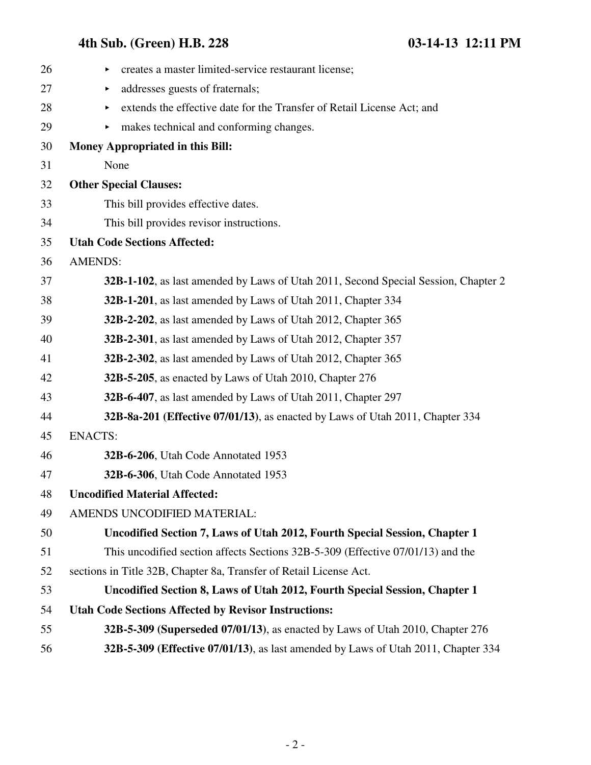| 26 | creates a master limited-service restaurant license;<br>▶                          |
|----|------------------------------------------------------------------------------------|
| 27 | addresses guests of fraternals;<br>▶                                               |
| 28 | extends the effective date for the Transfer of Retail License Act; and<br>▶        |
| 29 | makes technical and conforming changes.                                            |
| 30 | <b>Money Appropriated in this Bill:</b>                                            |
| 31 | None                                                                               |
| 32 | <b>Other Special Clauses:</b>                                                      |
| 33 | This bill provides effective dates.                                                |
| 34 | This bill provides revisor instructions.                                           |
| 35 | <b>Utah Code Sections Affected:</b>                                                |
| 36 | <b>AMENDS:</b>                                                                     |
| 37 | 32B-1-102, as last amended by Laws of Utah 2011, Second Special Session, Chapter 2 |
| 38 | 32B-1-201, as last amended by Laws of Utah 2011, Chapter 334                       |
| 39 | 32B-2-202, as last amended by Laws of Utah 2012, Chapter 365                       |
| 40 | 32B-2-301, as last amended by Laws of Utah 2012, Chapter 357                       |
| 41 | 32B-2-302, as last amended by Laws of Utah 2012, Chapter 365                       |
| 42 | 32B-5-205, as enacted by Laws of Utah 2010, Chapter 276                            |
| 43 | 32B-6-407, as last amended by Laws of Utah 2011, Chapter 297                       |
| 44 | 32B-8a-201 (Effective 07/01/13), as enacted by Laws of Utah 2011, Chapter 334      |
| 45 | <b>ENACTS:</b>                                                                     |
| 46 | 32B-6-206, Utah Code Annotated 1953                                                |
| 47 | 32B-6-306, Utah Code Annotated 1953                                                |
| 48 | <b>Uncodified Material Affected:</b>                                               |
| 49 | AMENDS UNCODIFIED MATERIAL:                                                        |
| 50 | Uncodified Section 7, Laws of Utah 2012, Fourth Special Session, Chapter 1         |
| 51 | This uncodified section affects Sections 32B-5-309 (Effective 07/01/13) and the    |
| 52 | sections in Title 32B, Chapter 8a, Transfer of Retail License Act.                 |
| 53 | Uncodified Section 8, Laws of Utah 2012, Fourth Special Session, Chapter 1         |
| 54 | <b>Utah Code Sections Affected by Revisor Instructions:</b>                        |
| 55 | 32B-5-309 (Superseded 07/01/13), as enacted by Laws of Utah 2010, Chapter 276      |
| 56 | 32B-5-309 (Effective 07/01/13), as last amended by Laws of Utah 2011, Chapter 334  |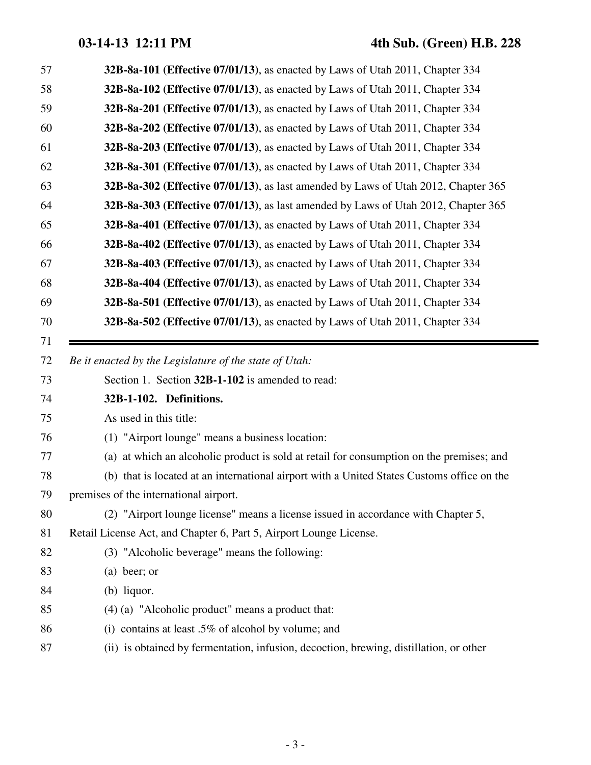| 57 | 32B-8a-101 (Effective 07/01/13), as enacted by Laws of Utah 2011, Chapter 334              |
|----|--------------------------------------------------------------------------------------------|
| 58 | 32B-8a-102 (Effective 07/01/13), as enacted by Laws of Utah 2011, Chapter 334              |
| 59 | 32B-8a-201 (Effective 07/01/13), as enacted by Laws of Utah 2011, Chapter 334              |
| 60 | <b>32B-8a-202 (Effective 07/01/13)</b> , as enacted by Laws of Utah 2011, Chapter 334      |
| 61 | 32B-8a-203 (Effective 07/01/13), as enacted by Laws of Utah 2011, Chapter 334              |
| 62 | 32B-8a-301 (Effective 07/01/13), as enacted by Laws of Utah 2011, Chapter 334              |
| 63 | 32B-8a-302 (Effective 07/01/13), as last amended by Laws of Utah 2012, Chapter 365         |
| 64 | 32B-8a-303 (Effective 07/01/13), as last amended by Laws of Utah 2012, Chapter 365         |
| 65 | 32B-8a-401 (Effective 07/01/13), as enacted by Laws of Utah 2011, Chapter 334              |
| 66 | 32B-8a-402 (Effective 07/01/13), as enacted by Laws of Utah 2011, Chapter 334              |
| 67 | 32B-8a-403 (Effective 07/01/13), as enacted by Laws of Utah 2011, Chapter 334              |
| 68 | 32B-8a-404 (Effective 07/01/13), as enacted by Laws of Utah 2011, Chapter 334              |
| 69 | 32B-8a-501 (Effective 07/01/13), as enacted by Laws of Utah 2011, Chapter 334              |
| 70 | 32B-8a-502 (Effective 07/01/13), as enacted by Laws of Utah 2011, Chapter 334              |
| 71 |                                                                                            |
|    |                                                                                            |
| 72 | Be it enacted by the Legislature of the state of Utah:                                     |
| 73 | Section 1. Section 32B-1-102 is amended to read:                                           |
| 74 | 32B-1-102. Definitions.                                                                    |
| 75 | As used in this title:                                                                     |
| 76 | (1) "Airport lounge" means a business location:                                            |
| 77 | (a) at which an alcoholic product is sold at retail for consumption on the premises; and   |
| 78 | (b) that is located at an international airport with a United States Customs office on the |
| 79 | premises of the international airport.                                                     |
| 80 | (2) "Airport lounge license" means a license issued in accordance with Chapter 5,          |
| 81 | Retail License Act, and Chapter 6, Part 5, Airport Lounge License.                         |
| 82 | (3) "Alcoholic beverage" means the following:                                              |
| 83 | $(a)$ beer; or                                                                             |
| 84 | $(b)$ liquor.                                                                              |
| 85 | $(4)$ (a) "Alcoholic product" means a product that:                                        |
| 86 | (i) contains at least .5% of alcohol by volume; and                                        |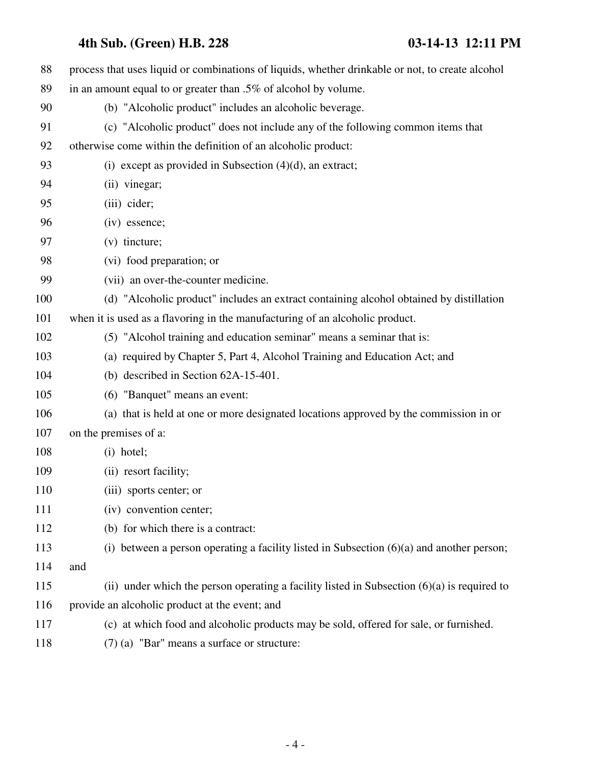| 88  | process that uses liquid or combinations of liquids, whether drinkable or not, to create alcohol |
|-----|--------------------------------------------------------------------------------------------------|
| 89  | in an amount equal to or greater than .5% of alcohol by volume.                                  |
| 90  | (b) "Alcoholic product" includes an alcoholic beverage.                                          |
| 91  | (c) "Alcoholic product" does not include any of the following common items that                  |
| 92  | otherwise come within the definition of an alcoholic product:                                    |
| 93  | (i) except as provided in Subsection $(4)(d)$ , an extract;                                      |
| 94  | (ii) vinegar;                                                                                    |
| 95  | (iii) cider;                                                                                     |
| 96  | (iv) essence;                                                                                    |
| 97  | (v) tincture;                                                                                    |
| 98  | (vi) food preparation; or                                                                        |
| 99  | (vii) an over-the-counter medicine.                                                              |
| 100 | (d) "Alcoholic product" includes an extract containing alcohol obtained by distillation          |
| 101 | when it is used as a flavoring in the manufacturing of an alcoholic product.                     |
| 102 | (5) "Alcohol training and education seminar" means a seminar that is:                            |
| 103 | (a) required by Chapter 5, Part 4, Alcohol Training and Education Act; and                       |
| 104 | (b) described in Section 62A-15-401.                                                             |
| 105 | (6) "Banquet" means an event:                                                                    |
| 106 | (a) that is held at one or more designated locations approved by the commission in or            |
| 107 | on the premises of a:                                                                            |
| 108 | $(i)$ hotel;                                                                                     |
| 109 | (ii) resort facility;                                                                            |
| 110 | (iii) sports center; or                                                                          |
| 111 | (iv) convention center;                                                                          |
| 112 | (b) for which there is a contract:                                                               |
| 113 | (i) between a person operating a facility listed in Subsection $(6)(a)$ and another person;      |
| 114 | and                                                                                              |
| 115 | (ii) under which the person operating a facility listed in Subsection $(6)(a)$ is required to    |
| 116 | provide an alcoholic product at the event; and                                                   |
| 117 | (c) at which food and alcoholic products may be sold, offered for sale, or furnished.            |
| 118 | $(7)$ (a) "Bar" means a surface or structure:                                                    |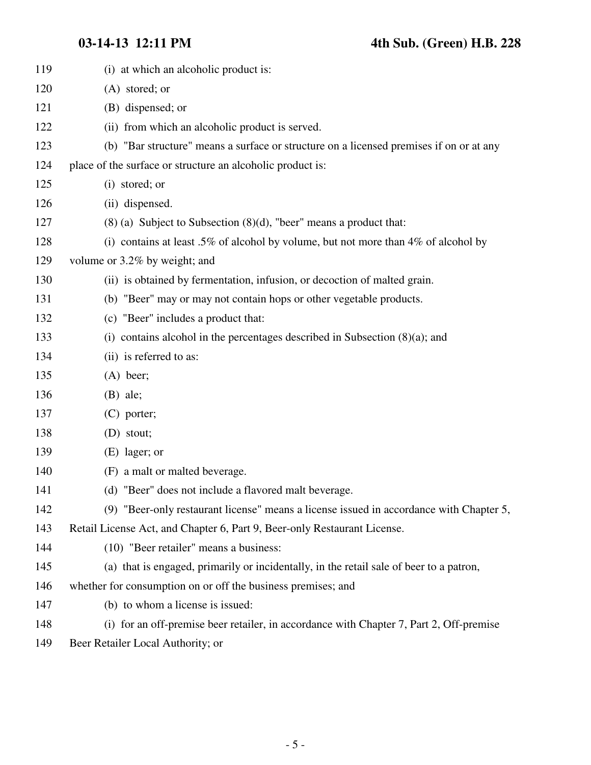| 119 | (i) at which an alcoholic product is:                                                   |
|-----|-----------------------------------------------------------------------------------------|
| 120 | (A) stored; or                                                                          |
| 121 | (B) dispensed; or                                                                       |
| 122 | (ii) from which an alcoholic product is served.                                         |
| 123 | (b) "Bar structure" means a surface or structure on a licensed premises if on or at any |
| 124 | place of the surface or structure an alcoholic product is:                              |
| 125 | (i) stored; or                                                                          |
| 126 | (ii) dispensed.                                                                         |
| 127 | $(8)$ (a) Subject to Subsection $(8)(d)$ , "beer" means a product that:                 |
| 128 | (i) contains at least .5% of alcohol by volume, but not more than $4\%$ of alcohol by   |
| 129 | volume or 3.2% by weight; and                                                           |
| 130 | (ii) is obtained by fermentation, infusion, or decoction of malted grain.               |
| 131 | (b) "Beer" may or may not contain hops or other vegetable products.                     |
| 132 | (c) "Beer" includes a product that:                                                     |
| 133 | (i) contains alcohol in the percentages described in Subsection $(8)(a)$ ; and          |
| 134 | (ii) is referred to as:                                                                 |
| 135 | $(A)$ beer;                                                                             |
| 136 | $(B)$ ale;                                                                              |
| 137 | $(C)$ porter;                                                                           |
| 138 | $(D)$ stout;                                                                            |
| 139 | (E) lager; or                                                                           |
| 140 | (F) a malt or malted beverage.                                                          |
| 141 | (d) "Beer" does not include a flavored malt beverage.                                   |
| 142 | (9) "Beer-only restaurant license" means a license issued in accordance with Chapter 5, |
| 143 | Retail License Act, and Chapter 6, Part 9, Beer-only Restaurant License.                |
| 144 | (10) "Beer retailer" means a business:                                                  |
| 145 | (a) that is engaged, primarily or incidentally, in the retail sale of beer to a patron, |
| 146 | whether for consumption on or off the business premises; and                            |
| 147 | (b) to whom a license is issued:                                                        |
| 148 | (i) for an off-premise beer retailer, in accordance with Chapter 7, Part 2, Off-premise |
|     |                                                                                         |

149 Beer Retailer Local Authority; or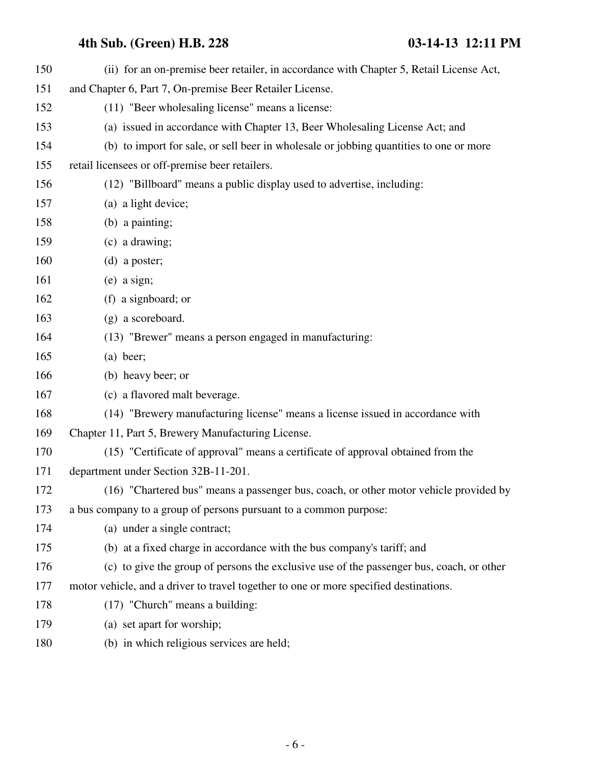| 150 | (ii) for an on-premise beer retailer, in accordance with Chapter 5, Retail License Act,  |
|-----|------------------------------------------------------------------------------------------|
| 151 | and Chapter 6, Part 7, On-premise Beer Retailer License.                                 |
| 152 | (11) "Beer wholesaling license" means a license:                                         |
| 153 | (a) issued in accordance with Chapter 13, Beer Wholesaling License Act; and              |
| 154 | (b) to import for sale, or sell beer in wholesale or jobbing quantities to one or more   |
| 155 | retail licensees or off-premise beer retailers.                                          |
| 156 | (12) "Billboard" means a public display used to advertise, including:                    |
| 157 | (a) a light device;                                                                      |
| 158 | $(b)$ a painting;                                                                        |
| 159 | (c) a drawing;                                                                           |
| 160 | $(d)$ a poster;                                                                          |
| 161 | $(e)$ a sign;                                                                            |
| 162 | (f) a signboard; or                                                                      |
| 163 | (g) a scoreboard.                                                                        |
| 164 | (13) "Brewer" means a person engaged in manufacturing:                                   |
| 165 | $(a)$ beer;                                                                              |
| 166 | (b) heavy beer; or                                                                       |
| 167 | (c) a flavored malt beverage.                                                            |
| 168 | (14) "Brewery manufacturing license" means a license issued in accordance with           |
| 169 | Chapter 11, Part 5, Brewery Manufacturing License.                                       |
| 170 | (15) "Certificate of approval" means a certificate of approval obtained from the         |
| 171 | department under Section 32B-11-201.                                                     |
| 172 | (16) "Chartered bus" means a passenger bus, coach, or other motor vehicle provided by    |
| 173 | a bus company to a group of persons pursuant to a common purpose:                        |
| 174 | (a) under a single contract;                                                             |
| 175 | (b) at a fixed charge in accordance with the bus company's tariff; and                   |
| 176 | (c) to give the group of persons the exclusive use of the passenger bus, coach, or other |
| 177 | motor vehicle, and a driver to travel together to one or more specified destinations.    |
| 178 | $(17)$ "Church" means a building:                                                        |
| 179 | (a) set apart for worship;                                                               |
| 180 | (b) in which religious services are held;                                                |
|     |                                                                                          |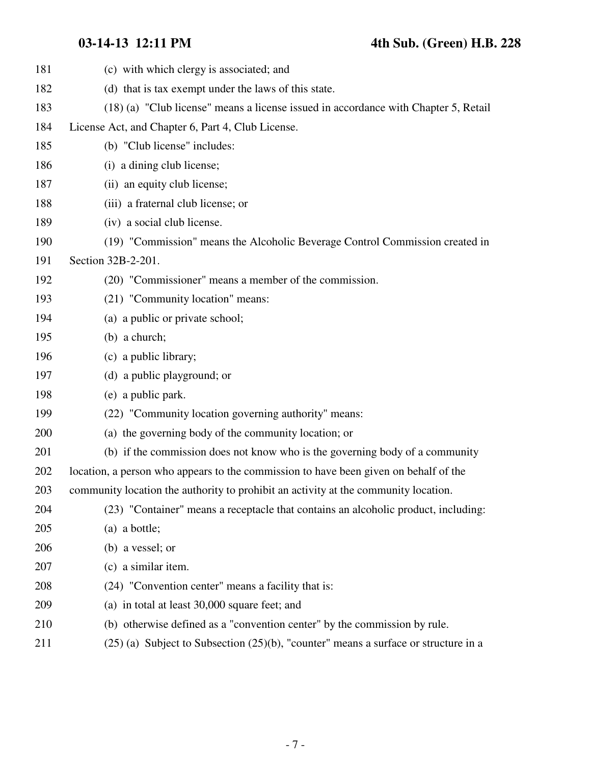| 181 | (c) with which clergy is associated; and                                                 |
|-----|------------------------------------------------------------------------------------------|
| 182 | (d) that is tax exempt under the laws of this state.                                     |
| 183 | (18) (a) "Club license" means a license issued in accordance with Chapter 5, Retail      |
| 184 | License Act, and Chapter 6, Part 4, Club License.                                        |
| 185 | (b) "Club license" includes:                                                             |
| 186 | (i) a dining club license;                                                               |
| 187 | (ii) an equity club license;                                                             |
| 188 | (iii) a fraternal club license; or                                                       |
| 189 | (iv) a social club license.                                                              |
| 190 | (19) "Commission" means the Alcoholic Beverage Control Commission created in             |
| 191 | Section 32B-2-201.                                                                       |
| 192 | (20) "Commissioner" means a member of the commission.                                    |
| 193 | (21) "Community location" means:                                                         |
| 194 | (a) a public or private school;                                                          |
| 195 | (b) a church;                                                                            |
| 196 | (c) a public library;                                                                    |
| 197 | (d) a public playground; or                                                              |
| 198 | (e) a public park.                                                                       |
| 199 | (22) "Community location governing authority" means:                                     |
| 200 | (a) the governing body of the community location; or                                     |
| 201 | (b) if the commission does not know who is the governing body of a community             |
| 202 | location, a person who appears to the commission to have been given on behalf of the     |
| 203 | community location the authority to prohibit an activity at the community location.      |
| 204 | (23) "Container" means a receptacle that contains an alcoholic product, including:       |
| 205 | (a) a bottle;                                                                            |
| 206 | (b) a vessel; or                                                                         |
| 207 | (c) a similar item.                                                                      |
| 208 | (24) "Convention center" means a facility that is:                                       |
| 209 | (a) in total at least 30,000 square feet; and                                            |
| 210 | (b) otherwise defined as a "convention center" by the commission by rule.                |
| 211 | $(25)$ (a) Subject to Subsection $(25)(b)$ , "counter" means a surface or structure in a |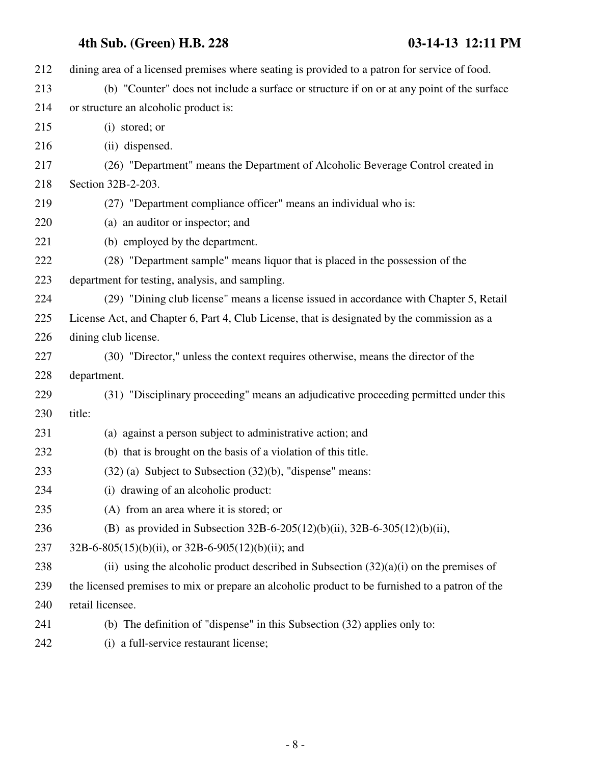| 212 | dining area of a licensed premises where seating is provided to a patron for service of food.   |
|-----|-------------------------------------------------------------------------------------------------|
| 213 | (b) "Counter" does not include a surface or structure if on or at any point of the surface      |
| 214 | or structure an alcoholic product is:                                                           |
| 215 | (i) stored; or                                                                                  |
| 216 | (ii) dispensed.                                                                                 |
| 217 | (26) "Department" means the Department of Alcoholic Beverage Control created in                 |
| 218 | Section 32B-2-203.                                                                              |
| 219 | (27) "Department compliance officer" means an individual who is:                                |
| 220 | (a) an auditor or inspector; and                                                                |
| 221 | (b) employed by the department.                                                                 |
| 222 | (28) "Department sample" means liquor that is placed in the possession of the                   |
| 223 | department for testing, analysis, and sampling.                                                 |
| 224 | (29) "Dining club license" means a license issued in accordance with Chapter 5, Retail          |
| 225 | License Act, and Chapter 6, Part 4, Club License, that is designated by the commission as a     |
| 226 | dining club license.                                                                            |
| 227 | (30) "Director," unless the context requires otherwise, means the director of the               |
| 228 | department.                                                                                     |
| 229 | (31) "Disciplinary proceeding" means an adjudicative proceeding permitted under this            |
| 230 | title:                                                                                          |
| 231 | (a) against a person subject to administrative action; and                                      |
| 232 | (b) that is brought on the basis of a violation of this title.                                  |
| 233 | $(32)$ (a) Subject to Subsection $(32)(b)$ , "dispense" means:                                  |
| 234 | (i) drawing of an alcoholic product:                                                            |
| 235 | (A) from an area where it is stored; or                                                         |
| 236 | (B) as provided in Subsection 32B-6-205(12)(b)(ii), 32B-6-305(12)(b)(ii),                       |
| 237 | $32B-6-805(15)(b)(ii)$ , or $32B-6-905(12)(b)(ii)$ ; and                                        |
| 238 | (ii) using the alcoholic product described in Subsection $(32)(a)(i)$ on the premises of        |
| 239 | the licensed premises to mix or prepare an alcoholic product to be furnished to a patron of the |
| 240 | retail licensee.                                                                                |
| 241 | (b) The definition of "dispense" in this Subsection (32) applies only to:                       |
| 242 | (i) a full-service restaurant license;                                                          |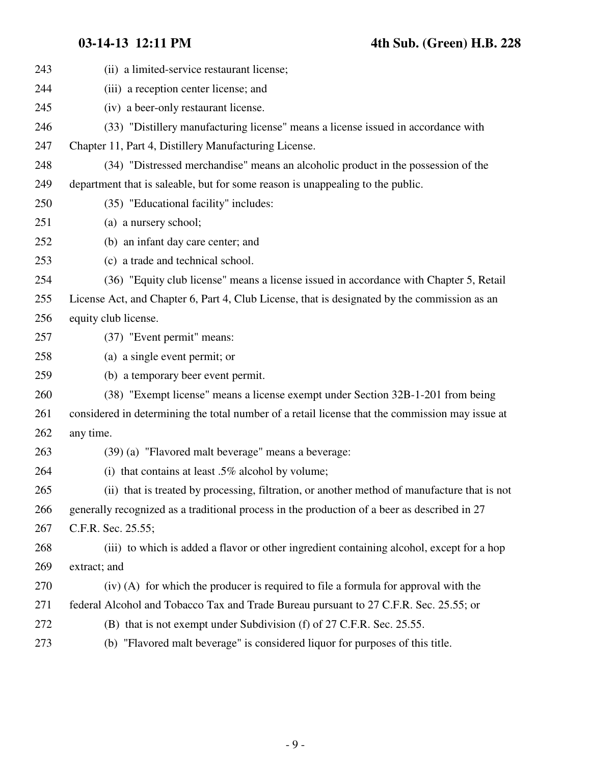| 243 | (ii) a limited-service restaurant license;                                                      |
|-----|-------------------------------------------------------------------------------------------------|
| 244 | (iii) a reception center license; and                                                           |
| 245 | (iv) a beer-only restaurant license.                                                            |
| 246 | (33) "Distillery manufacturing license" means a license issued in accordance with               |
| 247 | Chapter 11, Part 4, Distillery Manufacturing License.                                           |
| 248 | (34) "Distressed merchandise" means an alcoholic product in the possession of the               |
| 249 | department that is saleable, but for some reason is unappealing to the public.                  |
| 250 | (35) "Educational facility" includes:                                                           |
| 251 | (a) a nursery school;                                                                           |
| 252 | (b) an infant day care center; and                                                              |
| 253 | (c) a trade and technical school.                                                               |
| 254 | (36) "Equity club license" means a license issued in accordance with Chapter 5, Retail          |
| 255 | License Act, and Chapter 6, Part 4, Club License, that is designated by the commission as an    |
| 256 | equity club license.                                                                            |
| 257 | (37) "Event permit" means:                                                                      |
| 258 | (a) a single event permit; or                                                                   |
| 259 | (b) a temporary beer event permit.                                                              |
| 260 | (38) "Exempt license" means a license exempt under Section 32B-1-201 from being                 |
| 261 | considered in determining the total number of a retail license that the commission may issue at |
| 262 | any time.                                                                                       |
| 263 | (39) (a) "Flavored malt beverage" means a beverage:                                             |
| 264 | (i) that contains at least $.5\%$ alcohol by volume;                                            |
| 265 | (ii) that is treated by processing, filtration, or another method of manufacture that is not    |
| 266 | generally recognized as a traditional process in the production of a beer as described in 27    |
| 267 | C.F.R. Sec. 25.55;                                                                              |
| 268 | (iii) to which is added a flavor or other ingredient containing alcohol, except for a hop       |
| 269 | extract; and                                                                                    |
| 270 | (iv) (A) for which the producer is required to file a formula for approval with the             |
| 271 | federal Alcohol and Tobacco Tax and Trade Bureau pursuant to 27 C.F.R. Sec. 25.55; or           |
| 272 | (B) that is not exempt under Subdivision (f) of 27 C.F.R. Sec. 25.55.                           |
| 273 | (b) "Flavored malt beverage" is considered liquor for purposes of this title.                   |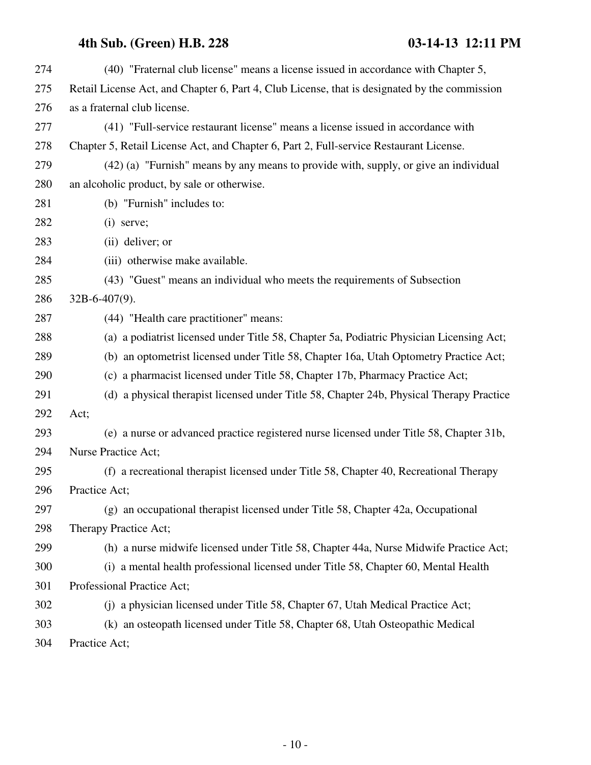| 274 | (40) "Fraternal club license" means a license issued in accordance with Chapter 5,            |
|-----|-----------------------------------------------------------------------------------------------|
| 275 | Retail License Act, and Chapter 6, Part 4, Club License, that is designated by the commission |
| 276 | as a fraternal club license.                                                                  |
| 277 | (41) "Full-service restaurant license" means a license issued in accordance with              |
| 278 | Chapter 5, Retail License Act, and Chapter 6, Part 2, Full-service Restaurant License.        |
| 279 | (42) (a) "Furnish" means by any means to provide with, supply, or give an individual          |
| 280 | an alcoholic product, by sale or otherwise.                                                   |
| 281 | (b) "Furnish" includes to:                                                                    |
| 282 | $(i)$ serve;                                                                                  |
| 283 | (ii) deliver; or                                                                              |
| 284 | (iii) otherwise make available.                                                               |
| 285 | (43) "Guest" means an individual who meets the requirements of Subsection                     |
| 286 | $32B-6-407(9)$ .                                                                              |
| 287 | (44) "Health care practitioner" means:                                                        |
| 288 | (a) a podiatrist licensed under Title 58, Chapter 5a, Podiatric Physician Licensing Act;      |
| 289 | (b) an optometrist licensed under Title 58, Chapter 16a, Utah Optometry Practice Act;         |
| 290 | (c) a pharmacist licensed under Title 58, Chapter 17b, Pharmacy Practice Act;                 |
| 291 | (d) a physical therapist licensed under Title 58, Chapter 24b, Physical Therapy Practice      |
| 292 | Act;                                                                                          |
| 293 | (e) a nurse or advanced practice registered nurse licensed under Title 58, Chapter 31b,       |
| 294 | <b>Nurse Practice Act;</b>                                                                    |
| 295 | (f) a recreational therapist licensed under Title 58, Chapter 40, Recreational Therapy        |
| 296 | Practice Act;                                                                                 |
| 297 | (g) an occupational therapist licensed under Title 58, Chapter 42a, Occupational              |
| 298 | Therapy Practice Act;                                                                         |
| 299 | (h) a nurse midwife licensed under Title 58, Chapter 44a, Nurse Midwife Practice Act;         |
| 300 | (i) a mental health professional licensed under Title 58, Chapter 60, Mental Health           |
| 301 | Professional Practice Act;                                                                    |
| 302 | (j) a physician licensed under Title 58, Chapter 67, Utah Medical Practice Act;               |
| 303 | (k) an osteopath licensed under Title 58, Chapter 68, Utah Osteopathic Medical                |
| 304 | Practice Act;                                                                                 |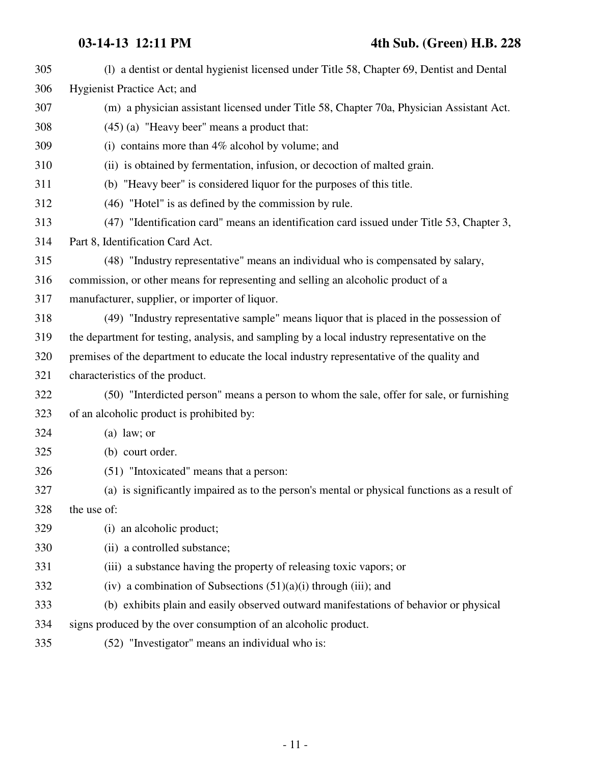| 305 | (1) a dentist or dental hygienist licensed under Title 58, Chapter 69, Dentist and Dental    |
|-----|----------------------------------------------------------------------------------------------|
| 306 | Hygienist Practice Act; and                                                                  |
| 307 | (m) a physician assistant licensed under Title 58, Chapter 70a, Physician Assistant Act.     |
| 308 | $(45)$ (a) "Heavy beer" means a product that:                                                |
| 309 | (i) contains more than $4\%$ alcohol by volume; and                                          |
| 310 | (ii) is obtained by fermentation, infusion, or decoction of malted grain.                    |
| 311 | (b) "Heavy beer" is considered liquor for the purposes of this title.                        |
| 312 | (46) "Hotel" is as defined by the commission by rule.                                        |
| 313 | (47) "Identification card" means an identification card issued under Title 53, Chapter 3,    |
| 314 | Part 8, Identification Card Act.                                                             |
| 315 | (48) "Industry representative" means an individual who is compensated by salary,             |
| 316 | commission, or other means for representing and selling an alcoholic product of a            |
| 317 | manufacturer, supplier, or importer of liquor.                                               |
| 318 | (49) "Industry representative sample" means liquor that is placed in the possession of       |
| 319 | the department for testing, analysis, and sampling by a local industry representative on the |
| 320 | premises of the department to educate the local industry representative of the quality and   |
| 321 | characteristics of the product.                                                              |
| 322 | (50) "Interdicted person" means a person to whom the sale, offer for sale, or furnishing     |
| 323 | of an alcoholic product is prohibited by:                                                    |
| 324 | $(a)$ law; or                                                                                |
| 325 | (b) court order.                                                                             |
| 326 | (51) "Intoxicated" means that a person:                                                      |
| 327 | (a) is significantly impaired as to the person's mental or physical functions as a result of |
| 328 | the use of:                                                                                  |
| 329 | (i) an alcoholic product;                                                                    |
| 330 | (ii) a controlled substance;                                                                 |
| 331 | (iii) a substance having the property of releasing toxic vapors; or                          |
| 332 | (iv) a combination of Subsections $(51)(a)(i)$ through (iii); and                            |
| 333 | (b) exhibits plain and easily observed outward manifestations of behavior or physical        |
| 334 | signs produced by the over consumption of an alcoholic product.                              |
| 335 | (52) "Investigator" means an individual who is:                                              |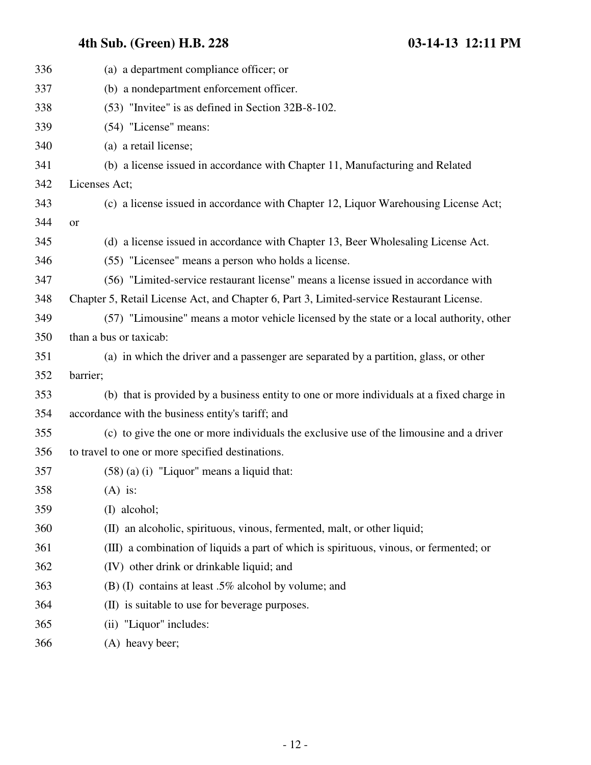| 336 | (a) a department compliance officer; or                                                   |
|-----|-------------------------------------------------------------------------------------------|
| 337 | (b) a nondepartment enforcement officer.                                                  |
| 338 | (53) "Invitee" is as defined in Section 32B-8-102.                                        |
| 339 | (54) "License" means:                                                                     |
| 340 | (a) a retail license;                                                                     |
| 341 | (b) a license issued in accordance with Chapter 11, Manufacturing and Related             |
| 342 | Licenses Act;                                                                             |
| 343 | (c) a license issued in accordance with Chapter 12, Liquor Warehousing License Act;       |
| 344 | or                                                                                        |
| 345 | (d) a license issued in accordance with Chapter 13, Beer Wholesaling License Act.         |
| 346 | (55) "Licensee" means a person who holds a license.                                       |
| 347 | (56) "Limited-service restaurant license" means a license issued in accordance with       |
| 348 | Chapter 5, Retail License Act, and Chapter 6, Part 3, Limited-service Restaurant License. |
| 349 | (57) "Limousine" means a motor vehicle licensed by the state or a local authority, other  |
| 350 | than a bus or taxicab:                                                                    |
| 351 | (a) in which the driver and a passenger are separated by a partition, glass, or other     |
| 352 | barrier;                                                                                  |
| 353 | (b) that is provided by a business entity to one or more individuals at a fixed charge in |
| 354 | accordance with the business entity's tariff; and                                         |
| 355 | (c) to give the one or more individuals the exclusive use of the limousine and a driver   |
| 356 | to travel to one or more specified destinations.                                          |
| 357 | $(58)$ (a) (i) "Liquor" means a liquid that:                                              |
| 358 | $(A)$ is:                                                                                 |
| 359 | (I) alcohol;                                                                              |
| 360 | (II) an alcoholic, spirituous, vinous, fermented, malt, or other liquid;                  |
| 361 | (III) a combination of liquids a part of which is spirituous, vinous, or fermented; or    |
| 362 | (IV) other drink or drinkable liquid; and                                                 |
| 363 | (B) (I) contains at least .5% alcohol by volume; and                                      |
| 364 | (II) is suitable to use for beverage purposes.                                            |
| 365 | (ii) "Liquor" includes:                                                                   |
| 366 | (A) heavy beer;                                                                           |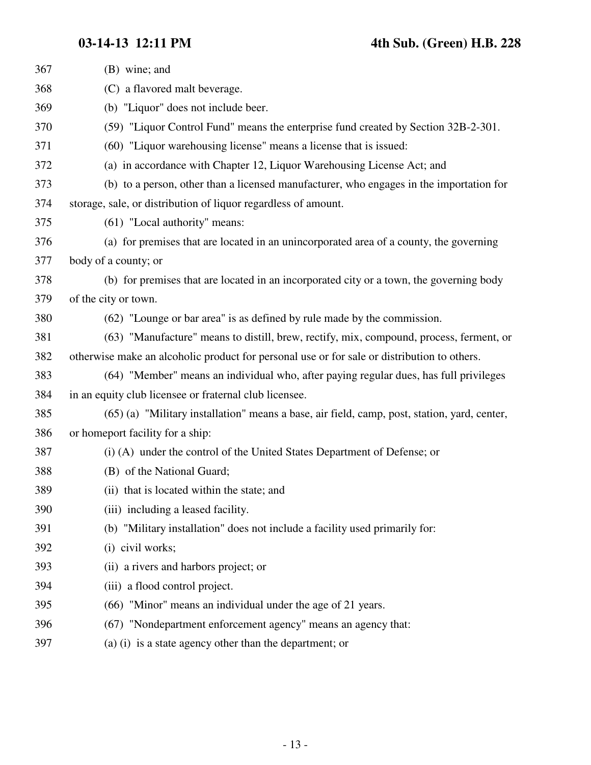| 367 | (B) wine; and                                                                                |
|-----|----------------------------------------------------------------------------------------------|
| 368 | (C) a flavored malt beverage.                                                                |
| 369 | (b) "Liquor" does not include beer.                                                          |
| 370 | (59) "Liquor Control Fund" means the enterprise fund created by Section 32B-2-301.           |
| 371 | (60) "Liquor warehousing license" means a license that is issued:                            |
| 372 | (a) in accordance with Chapter 12, Liquor Warehousing License Act; and                       |
| 373 | (b) to a person, other than a licensed manufacturer, who engages in the importation for      |
| 374 | storage, sale, or distribution of liquor regardless of amount.                               |
| 375 | (61) "Local authority" means:                                                                |
| 376 | (a) for premises that are located in an unincorporated area of a county, the governing       |
| 377 | body of a county; or                                                                         |
| 378 | (b) for premises that are located in an incorporated city or a town, the governing body      |
| 379 | of the city or town.                                                                         |
| 380 | (62) "Lounge or bar area" is as defined by rule made by the commission.                      |
| 381 | (63) "Manufacture" means to distill, brew, rectify, mix, compound, process, ferment, or      |
| 382 | otherwise make an alcoholic product for personal use or for sale or distribution to others.  |
| 383 | (64) "Member" means an individual who, after paying regular dues, has full privileges        |
| 384 | in an equity club licensee or fraternal club licensee.                                       |
| 385 | (65) (a) "Military installation" means a base, air field, camp, post, station, yard, center, |
| 386 | or homeport facility for a ship:                                                             |
| 387 | (i) (A) under the control of the United States Department of Defense; or                     |
| 388 | (B) of the National Guard;                                                                   |
| 389 | (ii) that is located within the state; and                                                   |
| 390 | (iii) including a leased facility.                                                           |
| 391 | (b) "Military installation" does not include a facility used primarily for:                  |
| 392 | (i) civil works;                                                                             |
| 393 | (ii) a rivers and harbors project; or                                                        |
| 394 | (iii) a flood control project.                                                               |
| 395 | (66) "Minor" means an individual under the age of 21 years.                                  |
| 396 | (67) "Nondepartment enforcement agency" means an agency that:                                |
| 397 | (a) (i) is a state agency other than the department; or                                      |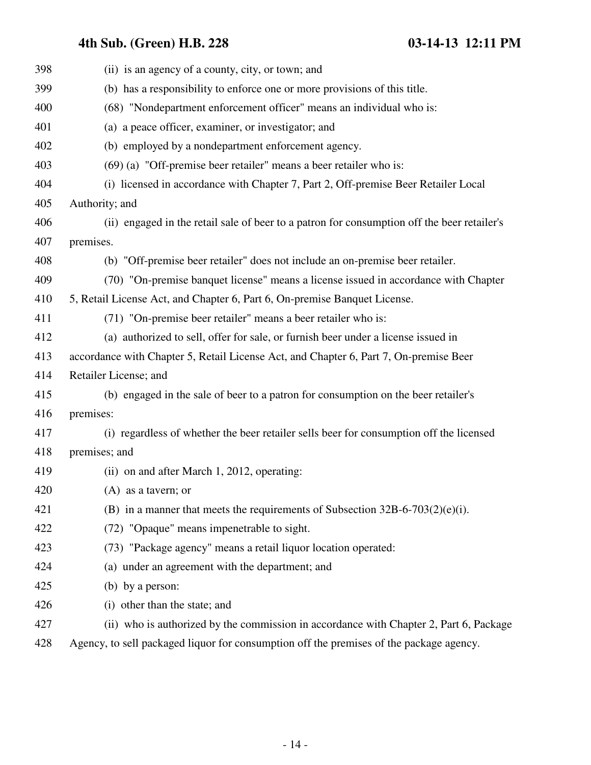| 398 | (ii) is an agency of a county, city, or town; and                                           |
|-----|---------------------------------------------------------------------------------------------|
| 399 | (b) has a responsibility to enforce one or more provisions of this title.                   |
| 400 | (68) "Nondepartment enforcement officer" means an individual who is:                        |
| 401 | (a) a peace officer, examiner, or investigator; and                                         |
| 402 | (b) employed by a nondepartment enforcement agency.                                         |
| 403 | $(69)$ (a) "Off-premise beer retailer" means a beer retailer who is:                        |
| 404 | (i) licensed in accordance with Chapter 7, Part 2, Off-premise Beer Retailer Local          |
| 405 | Authority; and                                                                              |
| 406 | (ii) engaged in the retail sale of beer to a patron for consumption off the beer retailer's |
| 407 | premises.                                                                                   |
| 408 | (b) "Off-premise beer retailer" does not include an on-premise beer retailer.               |
| 409 | (70) "On-premise banquet license" means a license issued in accordance with Chapter         |
| 410 | 5, Retail License Act, and Chapter 6, Part 6, On-premise Banquet License.                   |
| 411 | (71) "On-premise beer retailer" means a beer retailer who is:                               |
| 412 | (a) authorized to sell, offer for sale, or furnish beer under a license issued in           |
| 413 | accordance with Chapter 5, Retail License Act, and Chapter 6, Part 7, On-premise Beer       |
| 414 | Retailer License; and                                                                       |
| 415 | (b) engaged in the sale of beer to a patron for consumption on the beer retailer's          |
| 416 | premises:                                                                                   |
| 417 | (i) regardless of whether the beer retailer sells beer for consumption off the licensed     |
| 418 | premises; and                                                                               |
| 419 | (ii) on and after March 1, 2012, operating:                                                 |
| 420 | $(A)$ as a tavern; or                                                                       |
| 421 | (B) in a manner that meets the requirements of Subsection $32B-6-703(2)(e)(i)$ .            |
| 422 | (72) "Opaque" means impenetrable to sight.                                                  |
| 423 | (73) "Package agency" means a retail liquor location operated:                              |
| 424 | (a) under an agreement with the department; and                                             |
| 425 | (b) by a person:                                                                            |
| 426 | (i) other than the state; and                                                               |
| 427 | (ii) who is authorized by the commission in accordance with Chapter 2, Part 6, Package      |
| 428 | Agency, to sell packaged liquor for consumption off the premises of the package agency.     |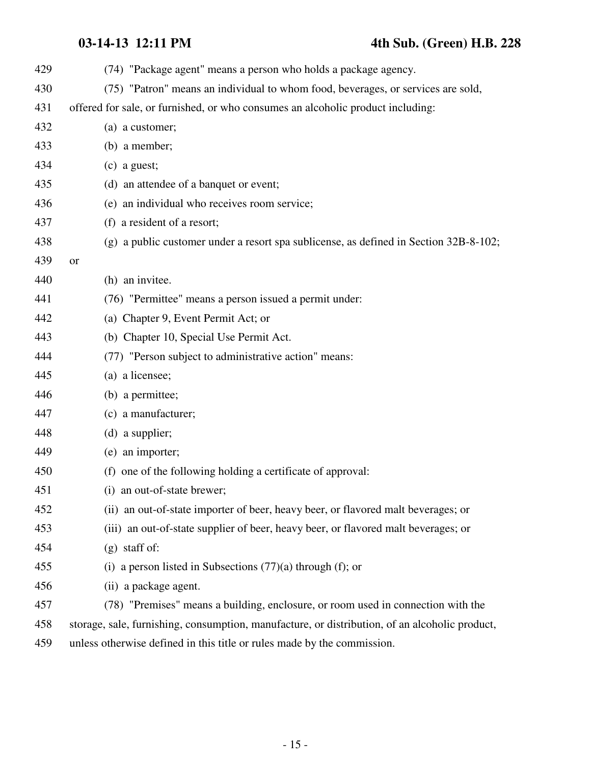| 429 |                                                                                                |
|-----|------------------------------------------------------------------------------------------------|
|     | (74) "Package agent" means a person who holds a package agency.                                |
| 430 | (75) "Patron" means an individual to whom food, beverages, or services are sold,               |
| 431 | offered for sale, or furnished, or who consumes an alcoholic product including:                |
| 432 | (a) a customer;                                                                                |
| 433 | (b) a member;                                                                                  |
| 434 | $(c)$ a guest;                                                                                 |
| 435 | (d) an attendee of a banquet or event;                                                         |
| 436 | (e) an individual who receives room service;                                                   |
| 437 | (f) a resident of a resort;                                                                    |
| 438 | (g) a public customer under a resort spa sublicense, as defined in Section 32B-8-102;          |
| 439 | <b>or</b>                                                                                      |
| 440 | (h) an invitee.                                                                                |
| 441 | (76) "Permittee" means a person issued a permit under:                                         |
| 442 | (a) Chapter 9, Event Permit Act; or                                                            |
| 443 | (b) Chapter 10, Special Use Permit Act.                                                        |
| 444 | (77) "Person subject to administrative action" means:                                          |
| 445 | (a) a licensee;                                                                                |
| 446 | (b) a permittee;                                                                               |
| 447 | (c) a manufacturer;                                                                            |
| 448 | $(d)$ a supplier;                                                                              |
| 449 | (e) an importer;                                                                               |
| 450 | (f) one of the following holding a certificate of approval:                                    |
| 451 | (i) an out-of-state brewer;                                                                    |
| 452 | (ii) an out-of-state importer of beer, heavy beer, or flavored malt beverages; or              |
| 453 | (iii) an out-of-state supplier of beer, heavy beer, or flavored malt beverages; or             |
| 454 | $(g)$ staff of:                                                                                |
| 455 | a person listed in Subsections $(77)(a)$ through $(f)$ ; or<br>(i)                             |
| 456 | (ii) a package agent.                                                                          |
| 457 | (78) "Premises" means a building, enclosure, or room used in connection with the               |
| 458 | storage, sale, furnishing, consumption, manufacture, or distribution, of an alcoholic product, |
| 459 | unless otherwise defined in this title or rules made by the commission.                        |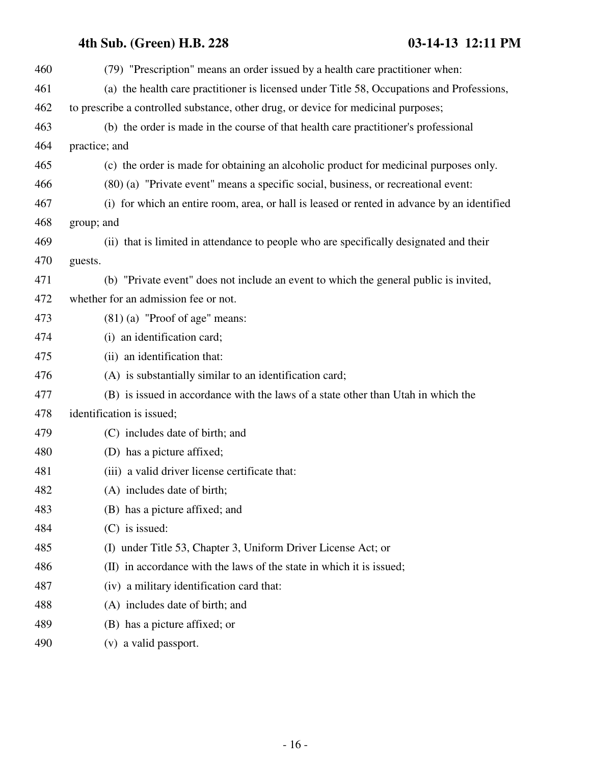| 460 | (79) "Prescription" means an order issued by a health care practitioner when:               |
|-----|---------------------------------------------------------------------------------------------|
| 461 | (a) the health care practitioner is licensed under Title 58, Occupations and Professions,   |
| 462 | to prescribe a controlled substance, other drug, or device for medicinal purposes;          |
| 463 | (b) the order is made in the course of that health care practitioner's professional         |
| 464 | practice; and                                                                               |
| 465 | (c) the order is made for obtaining an alcoholic product for medicinal purposes only.       |
| 466 | (80) (a) "Private event" means a specific social, business, or recreational event:          |
| 467 | (i) for which an entire room, area, or hall is leased or rented in advance by an identified |
| 468 | group; and                                                                                  |
| 469 | (ii) that is limited in attendance to people who are specifically designated and their      |
| 470 | guests.                                                                                     |
| 471 | (b) "Private event" does not include an event to which the general public is invited,       |
| 472 | whether for an admission fee or not.                                                        |
| 473 | $(81)$ (a) "Proof of age" means:                                                            |
| 474 | (i) an identification card;                                                                 |
| 475 | (ii) an identification that:                                                                |
| 476 | (A) is substantially similar to an identification card;                                     |
| 477 | (B) is issued in accordance with the laws of a state other than Utah in which the           |
| 478 | identification is issued;                                                                   |
| 479 | (C) includes date of birth; and                                                             |
| 480 | (D) has a picture affixed;                                                                  |
| 481 | (iii) a valid driver license certificate that:                                              |
| 482 | (A) includes date of birth;                                                                 |
| 483 | (B) has a picture affixed; and                                                              |
| 484 | $(C)$ is issued:                                                                            |
| 485 | (I) under Title 53, Chapter 3, Uniform Driver License Act; or                               |
| 486 | (II) in accordance with the laws of the state in which it is issued;                        |
| 487 | (iv) a military identification card that:                                                   |
| 488 | (A) includes date of birth; and                                                             |
| 489 | (B) has a picture affixed; or                                                               |
| 490 | (v) a valid passport.                                                                       |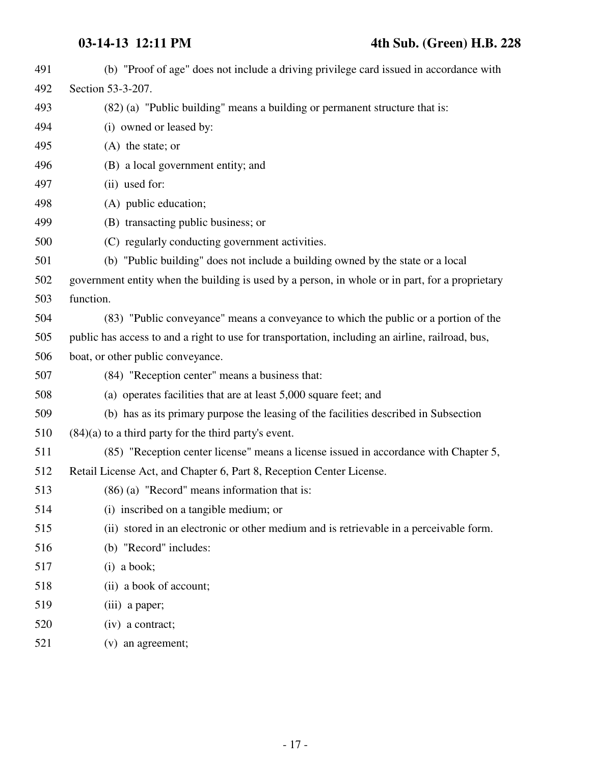| 491 | (b) "Proof of age" does not include a driving privilege card issued in accordance with           |
|-----|--------------------------------------------------------------------------------------------------|
| 492 | Section 53-3-207.                                                                                |
| 493 | (82) (a) "Public building" means a building or permanent structure that is:                      |
| 494 | (i) owned or leased by:                                                                          |
| 495 | $(A)$ the state; or                                                                              |
| 496 | (B) a local government entity; and                                                               |
| 497 | (ii) used for:                                                                                   |
| 498 | (A) public education;                                                                            |
| 499 | (B) transacting public business; or                                                              |
| 500 | (C) regularly conducting government activities.                                                  |
| 501 | (b) "Public building" does not include a building owned by the state or a local                  |
| 502 | government entity when the building is used by a person, in whole or in part, for a proprietary  |
| 503 | function.                                                                                        |
| 504 | (83) "Public conveyance" means a conveyance to which the public or a portion of the              |
| 505 | public has access to and a right to use for transportation, including an airline, railroad, bus, |
| 506 | boat, or other public conveyance.                                                                |
| 507 | (84) "Reception center" means a business that:                                                   |
| 508 | (a) operates facilities that are at least 5,000 square feet; and                                 |
| 509 | (b) has as its primary purpose the leasing of the facilities described in Subsection             |
| 510 | $(84)(a)$ to a third party for the third party's event.                                          |
| 511 | (85) "Reception center license" means a license issued in accordance with Chapter 5,             |
| 512 | Retail License Act, and Chapter 6, Part 8, Reception Center License.                             |
| 513 | $(86)$ (a) "Record" means information that is:                                                   |
| 514 | (i) inscribed on a tangible medium; or                                                           |
| 515 | (ii) stored in an electronic or other medium and is retrievable in a perceivable form.           |
| 516 | (b) "Record" includes:                                                                           |
| 517 | $(i)$ a book;                                                                                    |
| 518 | (ii) a book of account;                                                                          |
| 519 | (iii) a paper;                                                                                   |
| 520 | (iv) a contract;                                                                                 |
| 521 | (v) an agreement;                                                                                |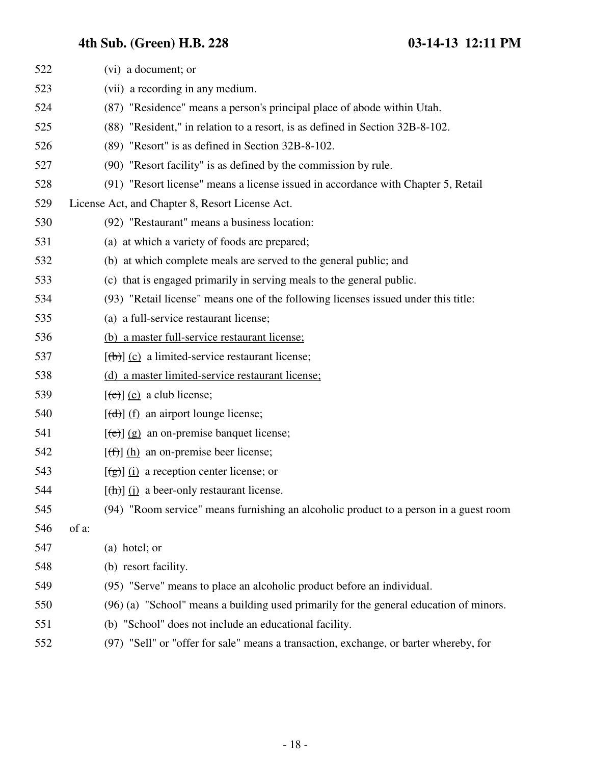| 522 | (vi) a document; or                                                                                                                                                                                                                                                                                                                                                                                                                                                                        |
|-----|--------------------------------------------------------------------------------------------------------------------------------------------------------------------------------------------------------------------------------------------------------------------------------------------------------------------------------------------------------------------------------------------------------------------------------------------------------------------------------------------|
| 523 | (vii) a recording in any medium.                                                                                                                                                                                                                                                                                                                                                                                                                                                           |
| 524 | (87) "Residence" means a person's principal place of abode within Utah.                                                                                                                                                                                                                                                                                                                                                                                                                    |
| 525 | (88) "Resident," in relation to a resort, is as defined in Section 32B-8-102.                                                                                                                                                                                                                                                                                                                                                                                                              |
| 526 | (89) "Resort" is as defined in Section 32B-8-102.                                                                                                                                                                                                                                                                                                                                                                                                                                          |
| 527 | (90) "Resort facility" is as defined by the commission by rule.                                                                                                                                                                                                                                                                                                                                                                                                                            |
| 528 | (91) "Resort license" means a license issued in accordance with Chapter 5, Retail                                                                                                                                                                                                                                                                                                                                                                                                          |
| 529 | License Act, and Chapter 8, Resort License Act.                                                                                                                                                                                                                                                                                                                                                                                                                                            |
| 530 | (92) "Restaurant" means a business location:                                                                                                                                                                                                                                                                                                                                                                                                                                               |
| 531 | (a) at which a variety of foods are prepared;                                                                                                                                                                                                                                                                                                                                                                                                                                              |
| 532 | (b) at which complete meals are served to the general public; and                                                                                                                                                                                                                                                                                                                                                                                                                          |
| 533 | (c) that is engaged primarily in serving meals to the general public.                                                                                                                                                                                                                                                                                                                                                                                                                      |
| 534 | (93) "Retail license" means one of the following licenses issued under this title:                                                                                                                                                                                                                                                                                                                                                                                                         |
| 535 | (a) a full-service restaurant license;                                                                                                                                                                                                                                                                                                                                                                                                                                                     |
| 536 | (b) a master full-service restaurant license;                                                                                                                                                                                                                                                                                                                                                                                                                                              |
| 537 | $[\langle b \rangle]$ (c) a limited-service restaurant license;                                                                                                                                                                                                                                                                                                                                                                                                                            |
| 538 | (d) a master limited-service restaurant license;                                                                                                                                                                                                                                                                                                                                                                                                                                           |
| 539 | $[\text{e}]$ (e) a club license;                                                                                                                                                                                                                                                                                                                                                                                                                                                           |
| 540 | $[\text{d} \cdot \text{d} \cdot \text{d} \cdot \text{d} \cdot \text{d} \cdot \text{d} \cdot \text{d} \cdot \text{d} \cdot \text{d} \cdot \text{d} \cdot \text{d} \cdot \text{d} \cdot \text{d} \cdot \text{d} \cdot \text{d} \cdot \text{d} \cdot \text{d} \cdot \text{d} \cdot \text{d} \cdot \text{d} \cdot \text{d} \cdot \text{d} \cdot \text{d} \cdot \text{d} \cdot \text{d} \cdot \text{d} \cdot \text{d} \cdot \text{d} \cdot \text{d} \cdot \text{d} \cdot \text{d} \cdot \text{$ |
| 541 | $[\text{e}(\text{e})]$ (g) an on-premise banquet license;                                                                                                                                                                                                                                                                                                                                                                                                                                  |
| 542 | $[f(f)]$ (h) an on-premise beer license;                                                                                                                                                                                                                                                                                                                                                                                                                                                   |
| 543 | $\left[\frac{1}{2}\right]$ (i) a reception center license; or                                                                                                                                                                                                                                                                                                                                                                                                                              |
| 544 | $[\frac{h}{\ln}]$ (i) a beer-only restaurant license.                                                                                                                                                                                                                                                                                                                                                                                                                                      |
| 545 | (94) "Room service" means furnishing an alcoholic product to a person in a guest room                                                                                                                                                                                                                                                                                                                                                                                                      |
| 546 | of a:                                                                                                                                                                                                                                                                                                                                                                                                                                                                                      |
| 547 | (a) hotel; or                                                                                                                                                                                                                                                                                                                                                                                                                                                                              |
| 548 | (b) resort facility.                                                                                                                                                                                                                                                                                                                                                                                                                                                                       |
| 549 | (95) "Serve" means to place an alcoholic product before an individual.                                                                                                                                                                                                                                                                                                                                                                                                                     |
| 550 | (96) (a) "School" means a building used primarily for the general education of minors.                                                                                                                                                                                                                                                                                                                                                                                                     |
| 551 | (b) "School" does not include an educational facility.                                                                                                                                                                                                                                                                                                                                                                                                                                     |
| 552 | (97) "Sell" or "offer for sale" means a transaction, exchange, or barter whereby, for                                                                                                                                                                                                                                                                                                                                                                                                      |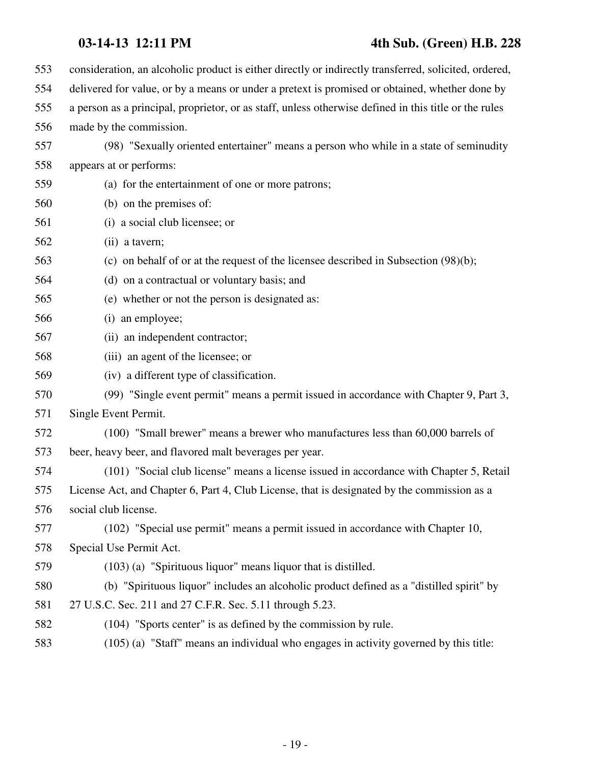### **03-14-13 12:11 PM 4th Sub. (Green) H.B. 228**

| 553 | consideration, an alcoholic product is either directly or indirectly transferred, solicited, ordered, |
|-----|-------------------------------------------------------------------------------------------------------|
| 554 | delivered for value, or by a means or under a pretext is promised or obtained, whether done by        |
| 555 | a person as a principal, proprietor, or as staff, unless otherwise defined in this title or the rules |
| 556 | made by the commission.                                                                               |
| 557 | (98) "Sexually oriented entertainer" means a person who while in a state of seminudity                |
| 558 | appears at or performs:                                                                               |
| 559 | (a) for the entertainment of one or more patrons;                                                     |
| 560 | (b) on the premises of:                                                                               |
| 561 | (i) a social club licensee; or                                                                        |
| 562 | (ii) a tavern;                                                                                        |
| 563 | (c) on behalf of or at the request of the licensee described in Subsection $(98)(b)$ ;                |
| 564 | (d) on a contractual or voluntary basis; and                                                          |
| 565 | (e) whether or not the person is designated as:                                                       |
| 566 | (i) an employee;                                                                                      |
| 567 | (ii) an independent contractor;                                                                       |
| 568 | (iii) an agent of the licensee; or                                                                    |
| 569 | (iv) a different type of classification.                                                              |
| 570 | (99) "Single event permit" means a permit issued in accordance with Chapter 9, Part 3,                |
| 571 | Single Event Permit.                                                                                  |
| 572 | (100) "Small brewer" means a brewer who manufactures less than 60,000 barrels of                      |
| 573 | beer, heavy beer, and flavored malt beverages per year.                                               |
| 574 | (101) "Social club license" means a license issued in accordance with Chapter 5, Retail               |
| 575 | License Act, and Chapter 6, Part 4, Club License, that is designated by the commission as a           |
| 576 | social club license.                                                                                  |
| 577 | (102) "Special use permit" means a permit issued in accordance with Chapter 10,                       |
| 578 | Special Use Permit Act.                                                                               |
| 579 | $(103)$ (a) "Spirituous liquor" means liquor that is distilled.                                       |
| 580 | (b) "Spirituous liquor" includes an alcoholic product defined as a "distilled spirit" by              |
| 581 | 27 U.S.C. Sec. 211 and 27 C.F.R. Sec. 5.11 through 5.23.                                              |
| 582 | (104) "Sports center" is as defined by the commission by rule.                                        |
| 583 | (105) (a) "Staff" means an individual who engages in activity governed by this title:                 |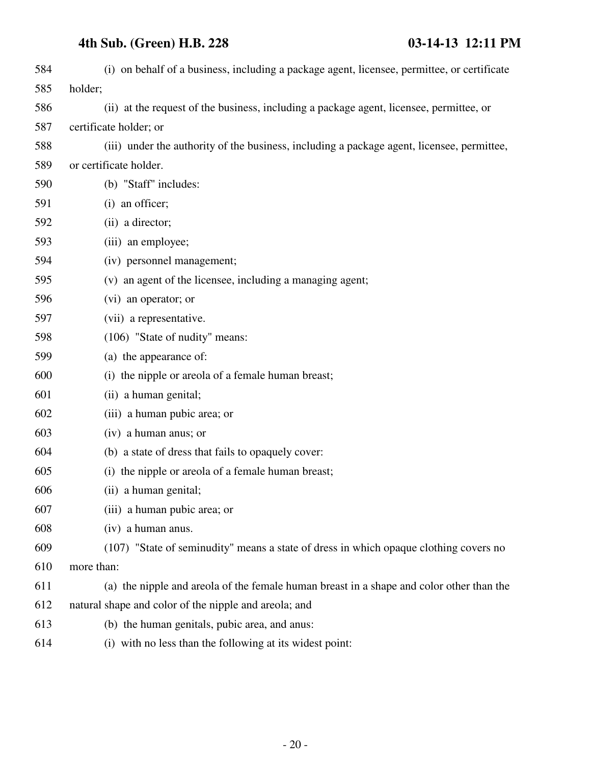| 584 | (i) on behalf of a business, including a package agent, licensee, permittee, or certificate |
|-----|---------------------------------------------------------------------------------------------|
| 585 | holder;                                                                                     |
| 586 | (ii) at the request of the business, including a package agent, licensee, permittee, or     |
| 587 | certificate holder; or                                                                      |
| 588 | (iii) under the authority of the business, including a package agent, licensee, permittee,  |
| 589 | or certificate holder.                                                                      |
| 590 | (b) "Staff" includes:                                                                       |
| 591 | (i) an officer;                                                                             |
| 592 | (ii) a director;                                                                            |
| 593 | (iii) an employee;                                                                          |
| 594 | (iv) personnel management;                                                                  |
| 595 | (v) an agent of the licensee, including a managing agent;                                   |
| 596 | (vi) an operator; or                                                                        |
| 597 | (vii) a representative.                                                                     |
| 598 | (106) "State of nudity" means:                                                              |
| 599 | (a) the appearance of:                                                                      |
| 600 | (i) the nipple or areola of a female human breast;                                          |
| 601 | (ii) a human genital;                                                                       |
| 602 | (iii) a human pubic area; or                                                                |
| 603 | (iv) a human anus; or                                                                       |
| 604 | (b) a state of dress that fails to opaquely cover:                                          |
| 605 | (i) the nipple or areola of a female human breast;                                          |
| 606 | (ii) a human genital;                                                                       |
| 607 | (iii) a human pubic area; or                                                                |
| 608 | (iv) a human anus.                                                                          |
| 609 | (107) "State of seminudity" means a state of dress in which opaque clothing covers no       |
| 610 | more than:                                                                                  |
| 611 | (a) the nipple and areola of the female human breast in a shape and color other than the    |
| 612 | natural shape and color of the nipple and areola; and                                       |
| 613 | (b) the human genitals, pubic area, and anus:                                               |
| 614 | (i) with no less than the following at its widest point:                                    |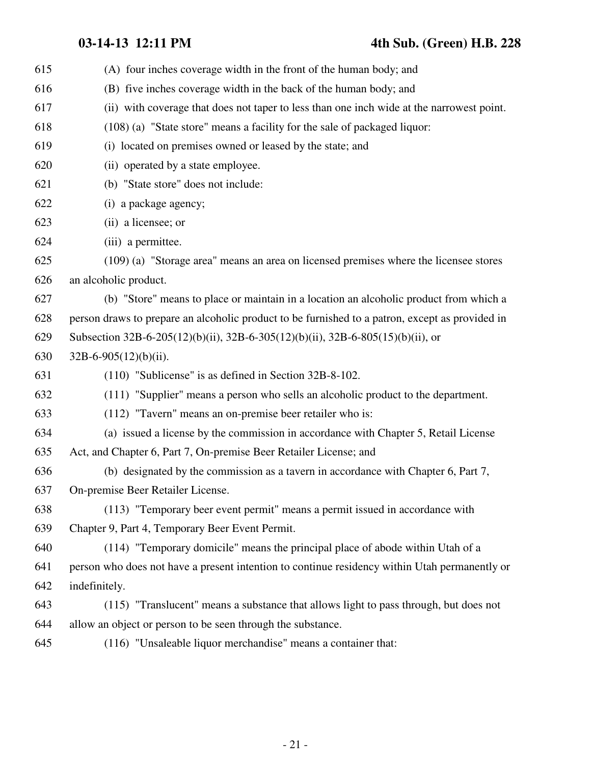**03-14-13 12:11 PM 4th Sub. (Green) H.B. 228**

| 615 | (A) four inches coverage width in the front of the human body; and                              |
|-----|-------------------------------------------------------------------------------------------------|
| 616 | (B) five inches coverage width in the back of the human body; and                               |
| 617 | (ii) with coverage that does not taper to less than one inch wide at the narrowest point.       |
| 618 | (108) (a) "State store" means a facility for the sale of packaged liquor:                       |
| 619 | (i) located on premises owned or leased by the state; and                                       |
| 620 | (ii) operated by a state employee.                                                              |
| 621 | (b) "State store" does not include:                                                             |
| 622 | (i) a package agency;                                                                           |
| 623 | (ii) a licensee; or                                                                             |
| 624 | (iii) a permittee.                                                                              |
| 625 | (109) (a) "Storage area" means an area on licensed premises where the licensee stores           |
| 626 | an alcoholic product.                                                                           |
| 627 | (b) "Store" means to place or maintain in a location an alcoholic product from which a          |
| 628 | person draws to prepare an alcoholic product to be furnished to a patron, except as provided in |
| 629 | Subsection 32B-6-205(12)(b)(ii), 32B-6-305(12)(b)(ii), 32B-6-805(15)(b)(ii), or                 |
| 630 | $32B-6-905(12)(b)(ii)$ .                                                                        |
| 631 | (110) "Sublicense" is as defined in Section 32B-8-102.                                          |
| 632 | (111) "Supplier" means a person who sells an alcoholic product to the department.               |
| 633 | (112) "Tavern" means an on-premise beer retailer who is:                                        |
| 634 | (a) issued a license by the commission in accordance with Chapter 5, Retail License             |
| 635 | Act, and Chapter 6, Part 7, On-premise Beer Retailer License; and                               |
| 636 | (b) designated by the commission as a tavern in accordance with Chapter 6, Part 7,              |
| 637 | On-premise Beer Retailer License.                                                               |
| 638 | (113) "Temporary beer event permit" means a permit issued in accordance with                    |
| 639 | Chapter 9, Part 4, Temporary Beer Event Permit.                                                 |
| 640 | (114) "Temporary domicile" means the principal place of abode within Utah of a                  |
| 641 | person who does not have a present intention to continue residency within Utah permanently or   |
| 642 | indefinitely.                                                                                   |
| 643 | (115) "Translucent" means a substance that allows light to pass through, but does not           |
| 644 | allow an object or person to be seen through the substance.                                     |
| 645 | (116) "Unsaleable liquor merchandise" means a container that:                                   |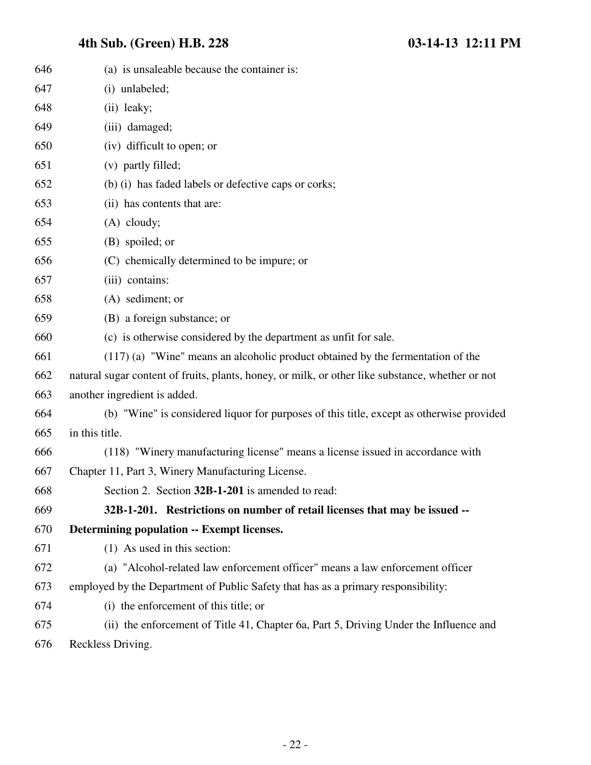| 646 | (a) is unsaleable because the container is:                                                      |
|-----|--------------------------------------------------------------------------------------------------|
| 647 | (i) unlabeled;                                                                                   |
| 648 | (ii) leaky;                                                                                      |
| 649 | (iii) damaged;                                                                                   |
| 650 | (iv) difficult to open; or                                                                       |
| 651 | (v) partly filled;                                                                               |
| 652 | (b) (i) has faded labels or defective caps or corks;                                             |
| 653 | (ii) has contents that are:                                                                      |
| 654 | $(A)$ cloudy;                                                                                    |
| 655 | (B) spoiled; or                                                                                  |
| 656 | (C) chemically determined to be impure; or                                                       |
| 657 | (iii) contains:                                                                                  |
| 658 | (A) sediment; or                                                                                 |
| 659 | (B) a foreign substance; or                                                                      |
| 660 | (c) is otherwise considered by the department as unfit for sale.                                 |
| 661 | $(117)$ (a) "Wine" means an alcoholic product obtained by the fermentation of the                |
| 662 | natural sugar content of fruits, plants, honey, or milk, or other like substance, whether or not |
| 663 | another ingredient is added.                                                                     |
| 664 | (b) "Wine" is considered liquor for purposes of this title, except as otherwise provided         |
| 665 | in this title.                                                                                   |
| 666 | (118) "Winery manufacturing license" means a license issued in accordance with                   |
| 667 | Chapter 11, Part 3, Winery Manufacturing License.                                                |
| 668 | Section 2. Section 32B-1-201 is amended to read:                                                 |
| 669 | 32B-1-201. Restrictions on number of retail licenses that may be issued --                       |
| 670 | Determining population -- Exempt licenses.                                                       |
| 671 | (1) As used in this section:                                                                     |
| 672 | (a) "Alcohol-related law enforcement officer" means a law enforcement officer                    |
| 673 | employed by the Department of Public Safety that has as a primary responsibility:                |
| 674 | (i) the enforcement of this title; or                                                            |
| 675 | (ii) the enforcement of Title 41, Chapter 6a, Part 5, Driving Under the Influence and            |
| 676 | Reckless Driving.                                                                                |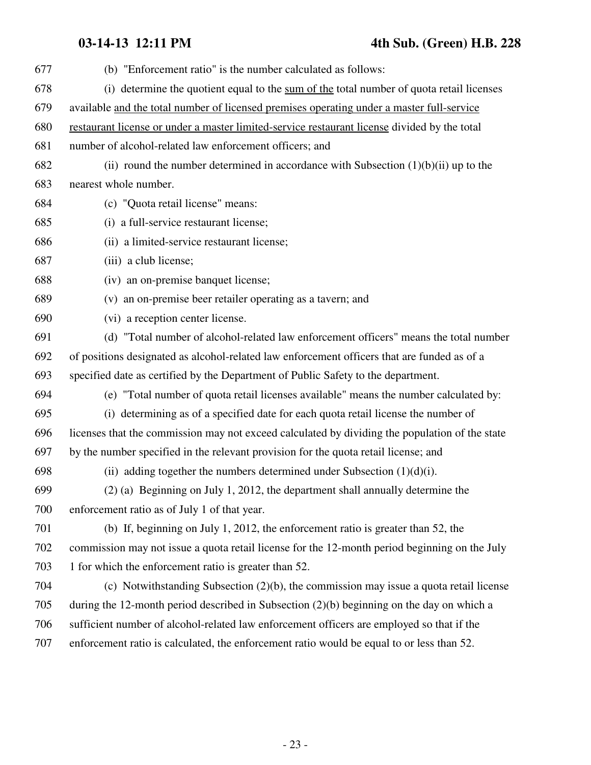**03-14-13 12:11 PM 4th Sub. (Green) H.B. 228**

| 677 | (b) "Enforcement ratio" is the number calculated as follows:                                   |
|-----|------------------------------------------------------------------------------------------------|
| 678 | (i) determine the quotient equal to the sum of the total number of quota retail licenses       |
| 679 | available and the total number of licensed premises operating under a master full-service      |
| 680 | restaurant license or under a master limited-service restaurant license divided by the total   |
| 681 | number of alcohol-related law enforcement officers; and                                        |
| 682 | (ii) round the number determined in accordance with Subsection $(1)(b)(ii)$ up to the          |
| 683 | nearest whole number.                                                                          |
| 684 | (c) "Quota retail license" means:                                                              |
| 685 | (i) a full-service restaurant license;                                                         |
| 686 | (ii) a limited-service restaurant license;                                                     |
| 687 | (iii) a club license;                                                                          |
| 688 | (iv) an on-premise banquet license;                                                            |
| 689 | (v) an on-premise beer retailer operating as a tavern; and                                     |
| 690 | (vi) a reception center license.                                                               |
| 691 | (d) "Total number of alcohol-related law enforcement officers" means the total number          |
| 692 | of positions designated as alcohol-related law enforcement officers that are funded as of a    |
| 693 | specified date as certified by the Department of Public Safety to the department.              |
| 694 | (e) "Total number of quota retail licenses available" means the number calculated by:          |
| 695 | (i) determining as of a specified date for each quota retail license the number of             |
| 696 | licenses that the commission may not exceed calculated by dividing the population of the state |
| 697 | by the number specified in the relevant provision for the quota retail license; and            |
| 698 | (ii) adding together the numbers determined under Subsection $(1)(d)(i)$ .                     |
| 699 | (2) (a) Beginning on July 1, 2012, the department shall annually determine the                 |
| 700 | enforcement ratio as of July 1 of that year.                                                   |
| 701 | (b) If, beginning on July 1, 2012, the enforcement ratio is greater than 52, the               |
| 702 | commission may not issue a quota retail license for the 12-month period beginning on the July  |
| 703 | 1 for which the enforcement ratio is greater than 52.                                          |
| 704 | (c) Notwithstanding Subsection $(2)(b)$ , the commission may issue a quota retail license      |
| 705 | during the 12-month period described in Subsection $(2)(b)$ beginning on the day on which a    |
| 706 | sufficient number of alcohol-related law enforcement officers are employed so that if the      |
| 707 | enforcement ratio is calculated, the enforcement ratio would be equal to or less than 52.      |
|     |                                                                                                |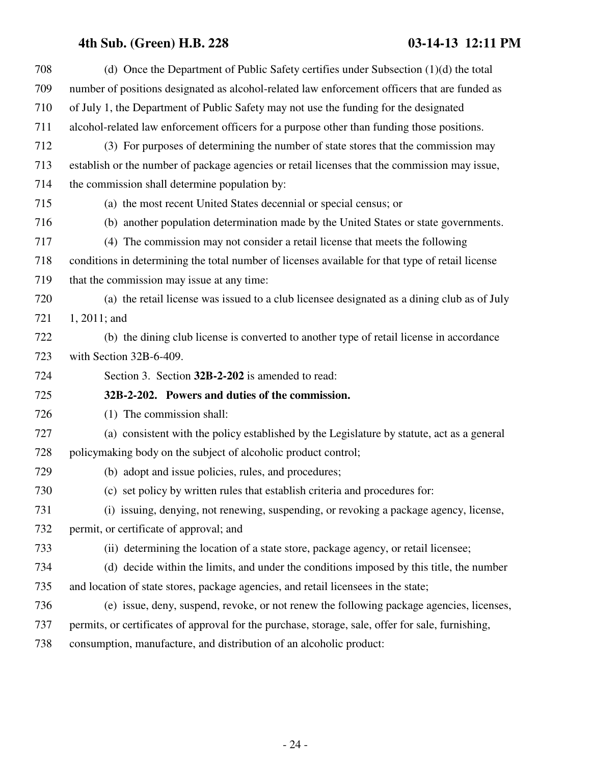| 708 | (d) Once the Department of Public Safety certifies under Subsection $(1)(d)$ the total            |
|-----|---------------------------------------------------------------------------------------------------|
| 709 | number of positions designated as alcohol-related law enforcement officers that are funded as     |
| 710 | of July 1, the Department of Public Safety may not use the funding for the designated             |
| 711 | alcohol-related law enforcement officers for a purpose other than funding those positions.        |
| 712 | (3) For purposes of determining the number of state stores that the commission may                |
| 713 | establish or the number of package agencies or retail licenses that the commission may issue,     |
| 714 | the commission shall determine population by:                                                     |
| 715 | (a) the most recent United States decennial or special census; or                                 |
| 716 | (b) another population determination made by the United States or state governments.              |
| 717 | (4) The commission may not consider a retail license that meets the following                     |
| 718 | conditions in determining the total number of licenses available for that type of retail license  |
| 719 | that the commission may issue at any time:                                                        |
| 720 | (a) the retail license was issued to a club licensee designated as a dining club as of July       |
| 721 | $1, 2011$ ; and                                                                                   |
| 722 | (b) the dining club license is converted to another type of retail license in accordance          |
| 723 | with Section 32B-6-409.                                                                           |
| 724 | Section 3. Section 32B-2-202 is amended to read:                                                  |
| 725 | 32B-2-202. Powers and duties of the commission.                                                   |
| 726 | (1) The commission shall:                                                                         |
| 727 | (a) consistent with the policy established by the Legislature by statute, act as a general        |
| 728 | policymaking body on the subject of alcoholic product control;                                    |
| 729 |                                                                                                   |
| 730 | (b) adopt and issue policies, rules, and procedures;                                              |
|     | (c) set policy by written rules that establish criteria and procedures for:                       |
| 731 | (i) issuing, denying, not renewing, suspending, or revoking a package agency, license,            |
| 732 | permit, or certificate of approval; and                                                           |
| 733 | (ii) determining the location of a state store, package agency, or retail licensee;               |
| 734 | (d) decide within the limits, and under the conditions imposed by this title, the number          |
| 735 | and location of state stores, package agencies, and retail licensees in the state;                |
| 736 | (e) issue, deny, suspend, revoke, or not renew the following package agencies, licenses,          |
| 737 | permits, or certificates of approval for the purchase, storage, sale, offer for sale, furnishing, |
| 738 | consumption, manufacture, and distribution of an alcoholic product:                               |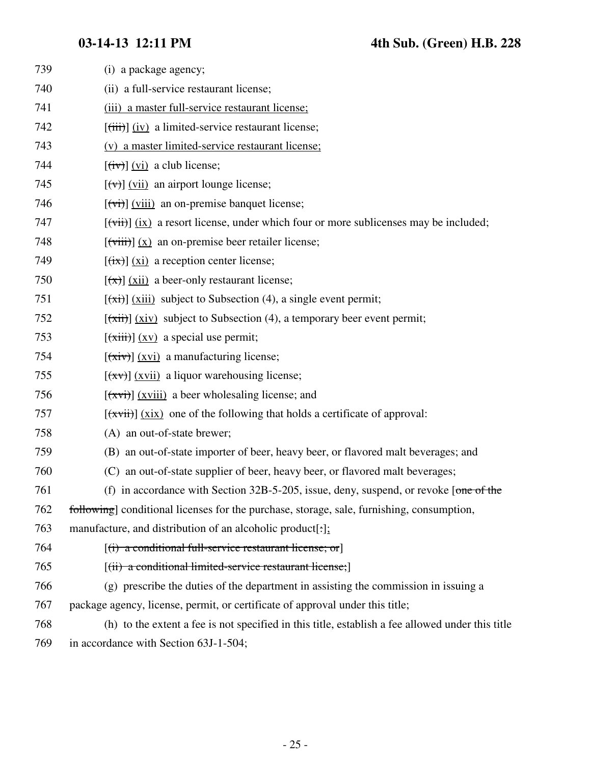| 739 | (i) a package agency;                                                                                 |
|-----|-------------------------------------------------------------------------------------------------------|
| 740 | (ii) a full-service restaurant license;                                                               |
| 741 | (iii) a master full-service restaurant license;                                                       |
| 742 | $[\overrightarrow{fiii}]\overrightarrow{fiv}$ a limited-service restaurant license;                   |
| 743 | (v) a master limited-service restaurant license;                                                      |
| 744 | $\left[\frac{div}{dx}\right]$ (vi) a club license;                                                    |
| 745 | $[\forall \forall]$ (vii) an airport lounge license;                                                  |
| 746 | $[\overrightarrow{vii}]$ (viii) an on-premise banquet license;                                        |
| 747 | $[\overrightarrow{vii}]$ (ix) a resort license, under which four or more sublicenses may be included; |
| 748 | $[\overrightarrow{viii}] (x)$ an on-premise beer retailer license;                                    |
| 749 | $[\overline{(\text{tx})}]$ (xi) a reception center license;                                           |
| 750 | $\left[\frac{f(x)}{g(x)}\right]$ (xii) a beer-only restaurant license;                                |
| 751 | $[\overline{(\pi i)}]$ (xiii) subject to Subsection (4), a single event permit;                       |
| 752 | $[\overline{xii}]$ (xiv) subject to Subsection (4), a temporary beer event permit;                    |
| 753 | $[\overrightarrow{xiii}]$ $(xv)$ a special use permit;                                                |
| 754 | $[\overrightarrow{xiv}]$ (xvi) a manufacturing license;                                               |
| 755 | $[\overline{(xv)}]$ (xvii) a liquor warehousing license;                                              |
| 756 | $[\overrightarrow{xyi}]$ (xviii) a beer wholesaling license; and                                      |
| 757 | $[\overline{(\overline{xvii})}]$ (xix) one of the following that holds a certificate of approval:     |
| 758 | (A) an out-of-state brewer;                                                                           |
| 759 | (B) an out-of-state importer of beer, heavy beer, or flavored malt beverages; and                     |
| 760 | (C) an out-of-state supplier of beer, heavy beer, or flavored malt beverages;                         |
| 761 | (f) in accordance with Section 32B-5-205, issue, deny, suspend, or revoke $[one of the]$              |
| 762 | following] conditional licenses for the purchase, storage, sale, furnishing, consumption,             |
| 763 | manufacture, and distribution of an alcoholic product[:];                                             |
| 764 | $[(i)$ a conditional full-service restaurant license; or                                              |
| 765 | $[(ii)$ a conditional limited-service restaurant license;                                             |
| 766 | (g) prescribe the duties of the department in assisting the commission in issuing a                   |
| 767 | package agency, license, permit, or certificate of approval under this title;                         |
| 768 | (h) to the extent a fee is not specified in this title, establish a fee allowed under this title      |
| 769 | in accordance with Section 63J-1-504;                                                                 |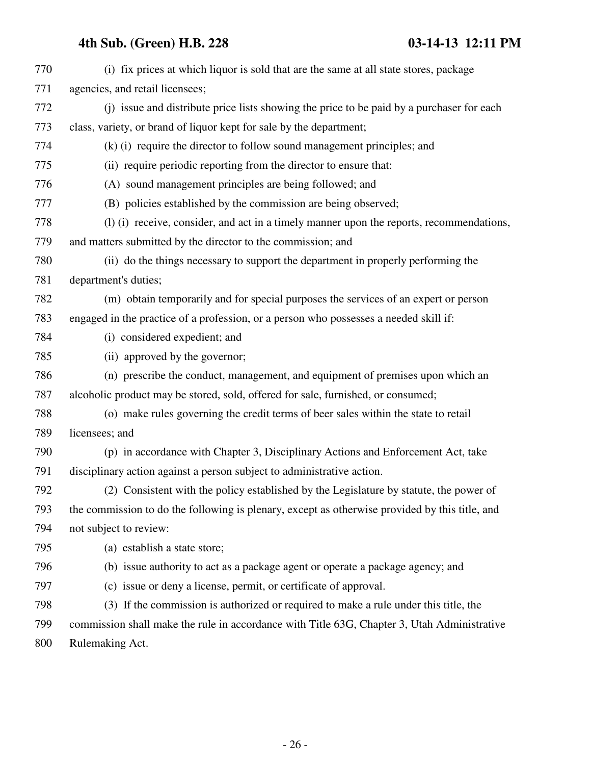| 770 | (i) fix prices at which liquor is sold that are the same at all state stores, package          |
|-----|------------------------------------------------------------------------------------------------|
| 771 | agencies, and retail licensees;                                                                |
| 772 | (i) issue and distribute price lists showing the price to be paid by a purchaser for each      |
| 773 | class, variety, or brand of liquor kept for sale by the department;                            |
| 774 | (k) (i) require the director to follow sound management principles; and                        |
| 775 | (ii) require periodic reporting from the director to ensure that:                              |
| 776 | (A) sound management principles are being followed; and                                        |
| 777 | (B) policies established by the commission are being observed;                                 |
| 778 | (1) (i) receive, consider, and act in a timely manner upon the reports, recommendations,       |
| 779 | and matters submitted by the director to the commission; and                                   |
| 780 | (ii) do the things necessary to support the department in properly performing the              |
| 781 | department's duties;                                                                           |
| 782 | (m) obtain temporarily and for special purposes the services of an expert or person            |
| 783 | engaged in the practice of a profession, or a person who possesses a needed skill if:          |
| 784 | (i) considered expedient; and                                                                  |
| 785 | (ii) approved by the governor;                                                                 |
| 786 | (n) prescribe the conduct, management, and equipment of premises upon which an                 |
| 787 | alcoholic product may be stored, sold, offered for sale, furnished, or consumed;               |
| 788 | (o) make rules governing the credit terms of beer sales within the state to retail             |
| 789 | licensees; and                                                                                 |
| 790 | (p) in accordance with Chapter 3, Disciplinary Actions and Enforcement Act, take               |
| 791 | disciplinary action against a person subject to administrative action.                         |
| 792 | (2) Consistent with the policy established by the Legislature by statute, the power of         |
| 793 | the commission to do the following is plenary, except as otherwise provided by this title, and |
| 794 | not subject to review:                                                                         |
| 795 | (a) establish a state store;                                                                   |
| 796 | (b) issue authority to act as a package agent or operate a package agency; and                 |
| 797 | (c) issue or deny a license, permit, or certificate of approval.                               |
| 798 | (3) If the commission is authorized or required to make a rule under this title, the           |
| 799 | commission shall make the rule in accordance with Title 63G, Chapter 3, Utah Administrative    |
|     |                                                                                                |

800 Rulemaking Act.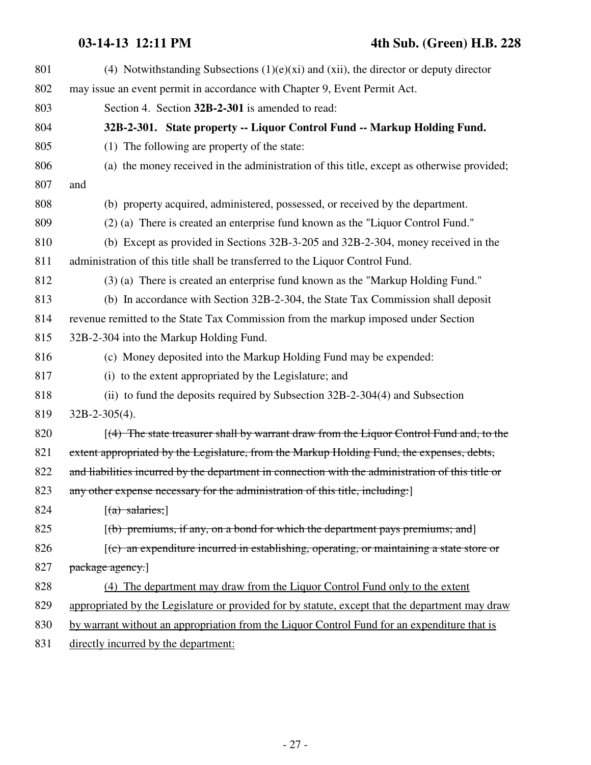| 801 | (4) Notwithstanding Subsections $(1)(e)(xi)$ and $(xii)$ , the director or deputy director        |
|-----|---------------------------------------------------------------------------------------------------|
| 802 | may issue an event permit in accordance with Chapter 9, Event Permit Act.                         |
| 803 | Section 4. Section 32B-2-301 is amended to read:                                                  |
| 804 | 32B-2-301. State property -- Liquor Control Fund -- Markup Holding Fund.                          |
| 805 | (1) The following are property of the state:                                                      |
| 806 | (a) the money received in the administration of this title, except as otherwise provided;         |
| 807 | and                                                                                               |
| 808 | (b) property acquired, administered, possessed, or received by the department.                    |
| 809 | (2) (a) There is created an enterprise fund known as the "Liquor Control Fund."                   |
| 810 | (b) Except as provided in Sections 32B-3-205 and 32B-2-304, money received in the                 |
| 811 | administration of this title shall be transferred to the Liquor Control Fund.                     |
| 812 | (3) (a) There is created an enterprise fund known as the "Markup Holding Fund."                   |
| 813 | (b) In accordance with Section 32B-2-304, the State Tax Commission shall deposit                  |
| 814 | revenue remitted to the State Tax Commission from the markup imposed under Section                |
| 815 | 32B-2-304 into the Markup Holding Fund.                                                           |
| 816 | (c) Money deposited into the Markup Holding Fund may be expended:                                 |
| 817 | (i) to the extent appropriated by the Legislature; and                                            |
| 818 | (ii) to fund the deposits required by Subsection 32B-2-304(4) and Subsection                      |
| 819 | $32B-2-305(4)$ .                                                                                  |
| 820 | $(4)$ The state treasurer shall by warrant draw from the Liquor Control Fund and, to the          |
| 821 | extent appropriated by the Legislature, from the Markup Holding Fund, the expenses, debts,        |
| 822 | and liabilities incurred by the department in connection with the administration of this title or |
| 823 | any other expense necessary for the administration of this title, including:                      |
| 824 | $[(a)$ salaries;                                                                                  |
| 825 | $[(b)$ premiums, if any, on a bond for which the department pays premiums; and                    |
| 826 | $(c)$ an expenditure incurred in establishing, operating, or maintaining a state store or         |
| 827 | package agency.                                                                                   |
| 828 | (4) The department may draw from the Liquor Control Fund only to the extent                       |
| 829 | appropriated by the Legislature or provided for by statute, except that the department may draw   |
| 830 | by warrant without an appropriation from the Liquor Control Fund for an expenditure that is       |
| 831 | directly incurred by the department:                                                              |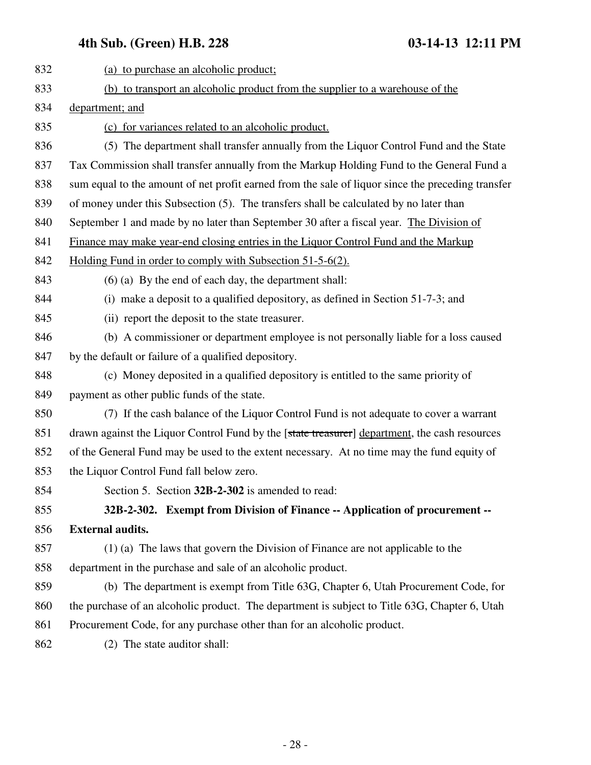| 832 | (a) to purchase an alcoholic product;                                                             |
|-----|---------------------------------------------------------------------------------------------------|
| 833 | (b) to transport an alcoholic product from the supplier to a warehouse of the                     |
| 834 | department; and                                                                                   |
| 835 | (c) for variances related to an alcoholic product.                                                |
| 836 | (5) The department shall transfer annually from the Liquor Control Fund and the State             |
| 837 | Tax Commission shall transfer annually from the Markup Holding Fund to the General Fund a         |
| 838 | sum equal to the amount of net profit earned from the sale of liquor since the preceding transfer |
| 839 | of money under this Subsection (5). The transfers shall be calculated by no later than            |
| 840 | September 1 and made by no later than September 30 after a fiscal year. The Division of           |
| 841 | Finance may make year-end closing entries in the Liquor Control Fund and the Markup               |
| 842 | Holding Fund in order to comply with Subsection 51-5-6(2).                                        |
| 843 | (6) (a) By the end of each day, the department shall:                                             |
| 844 | (i) make a deposit to a qualified depository, as defined in Section 51-7-3; and                   |
| 845 | (ii) report the deposit to the state treasurer.                                                   |
| 846 | (b) A commissioner or department employee is not personally liable for a loss caused              |
| 847 | by the default or failure of a qualified depository.                                              |
| 848 | (c) Money deposited in a qualified depository is entitled to the same priority of                 |
| 849 | payment as other public funds of the state.                                                       |
| 850 | (7) If the cash balance of the Liquor Control Fund is not adequate to cover a warrant             |
| 851 | drawn against the Liquor Control Fund by the [state treasurer] department, the cash resources     |
| 852 | of the General Fund may be used to the extent necessary. At no time may the fund equity of        |
| 853 | the Liquor Control Fund fall below zero.                                                          |
| 854 | Section 5. Section 32B-2-302 is amended to read:                                                  |
| 855 | 32B-2-302. Exempt from Division of Finance -- Application of procurement --                       |
| 856 | <b>External audits.</b>                                                                           |
| 857 | $(1)$ (a) The laws that govern the Division of Finance are not applicable to the                  |
| 858 | department in the purchase and sale of an alcoholic product.                                      |
| 859 | (b) The department is exempt from Title 63G, Chapter 6, Utah Procurement Code, for                |
| 860 | the purchase of an alcoholic product. The department is subject to Title 63G, Chapter 6, Utah     |
| 861 | Procurement Code, for any purchase other than for an alcoholic product.                           |
| 862 | (2) The state auditor shall:                                                                      |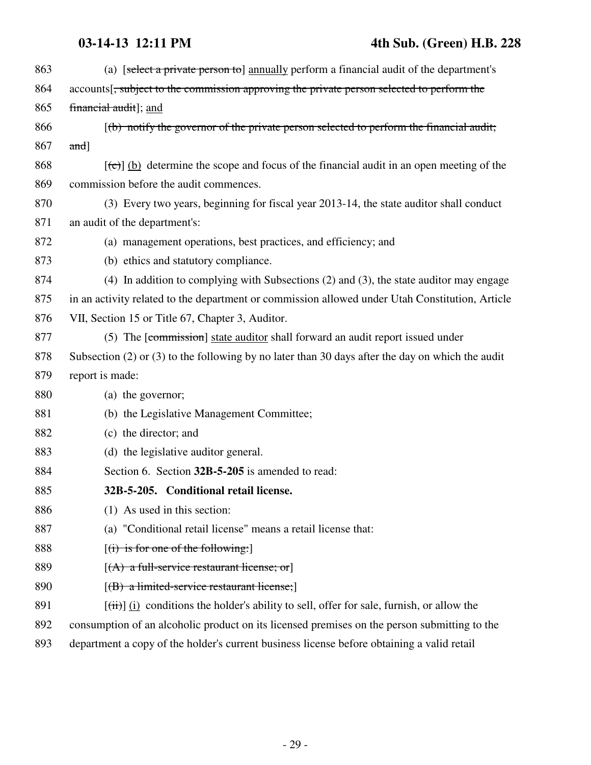| 863 | (a) [select a private person to] annually perform a financial audit of the department's                     |
|-----|-------------------------------------------------------------------------------------------------------------|
| 864 | accounts <sup>[</sup> , subject to the commission approving the private person selected to perform the      |
| 865 | financial audit]; and                                                                                       |
| 866 | $(t)$ notify the governor of the private person selected to perform the financial audit;                    |
| 867 | $and$ ]                                                                                                     |
| 868 | $[\text{(-c)}]$ (b) determine the scope and focus of the financial audit in an open meeting of the          |
| 869 | commission before the audit commences.                                                                      |
| 870 | (3) Every two years, beginning for fiscal year 2013-14, the state auditor shall conduct                     |
| 871 | an audit of the department's:                                                                               |
| 872 | (a) management operations, best practices, and efficiency; and                                              |
| 873 | (b) ethics and statutory compliance.                                                                        |
| 874 | (4) In addition to complying with Subsections (2) and (3), the state auditor may engage                     |
| 875 | in an activity related to the department or commission allowed under Utah Constitution, Article             |
| 876 | VII, Section 15 or Title 67, Chapter 3, Auditor.                                                            |
| 877 | (5) The [commission] state auditor shall forward an audit report issued under                               |
| 878 | Subsection $(2)$ or $(3)$ to the following by no later than 30 days after the day on which the audit        |
| 879 | report is made:                                                                                             |
| 880 | (a) the governor;                                                                                           |
| 881 | (b) the Legislative Management Committee;                                                                   |
| 882 | (c) the director; and                                                                                       |
| 883 | (d) the legislative auditor general.                                                                        |
| 884 | Section 6. Section 32B-5-205 is amended to read:                                                            |
| 885 | 32B-5-205. Conditional retail license.                                                                      |
| 886 | (1) As used in this section:                                                                                |
| 887 | (a) "Conditional retail license" means a retail license that:                                               |
| 888 | $[(i)$ is for one of the following:                                                                         |
| 889 | $[(A)$ a full-service restaurant license; or                                                                |
| 890 | $[(B)$ a limited-service restaurant license;                                                                |
| 891 | $[\overrightarrow{tii}]$ (i) conditions the holder's ability to sell, offer for sale, furnish, or allow the |
| 892 | consumption of an alcoholic product on its licensed premises on the person submitting to the                |

893 department a copy of the holder's current business license before obtaining a valid retail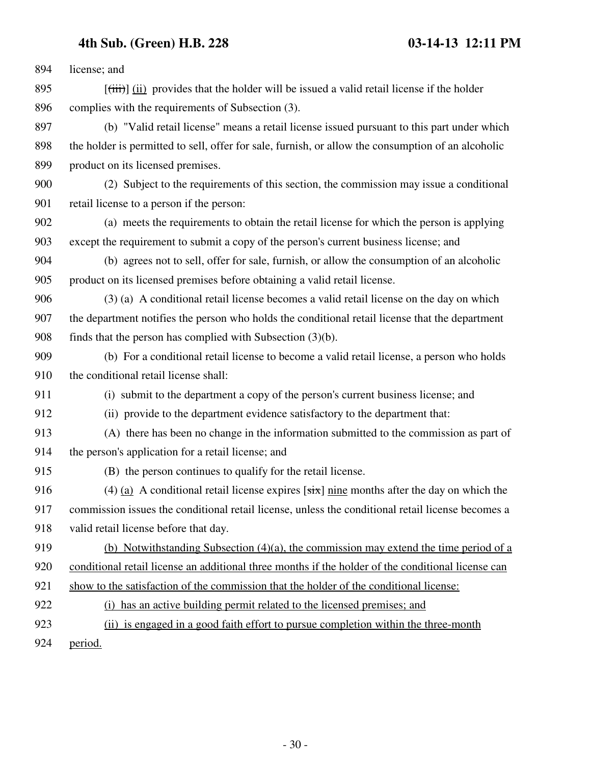894 license; and 895  $[(iii)]$  (ii) provides that the holder will be issued a valid retail license if the holder 896 complies with the requirements of Subsection (3). 897 (b) "Valid retail license" means a retail license issued pursuant to this part under which 898 the holder is permitted to sell, offer for sale, furnish, or allow the consumption of an alcoholic 899 product on its licensed premises. 900 (2) Subject to the requirements of this section, the commission may issue a conditional 901 retail license to a person if the person: 902 (a) meets the requirements to obtain the retail license for which the person is applying 903 except the requirement to submit a copy of the person's current business license; and 904 (b) agrees not to sell, offer for sale, furnish, or allow the consumption of an alcoholic 905 product on its licensed premises before obtaining a valid retail license. 906 (3) (a) A conditional retail license becomes a valid retail license on the day on which 907 the department notifies the person who holds the conditional retail license that the department 908 finds that the person has complied with Subsection (3)(b). 909 (b) For a conditional retail license to become a valid retail license, a person who holds 910 the conditional retail license shall: 911 (i) submit to the department a copy of the person's current business license; and 912 (ii) provide to the department evidence satisfactory to the department that: 913 (A) there has been no change in the information submitted to the commission as part of 914 the person's application for a retail license; and 915 (B) the person continues to qualify for the retail license. 916 (4) (a) A conditional retail license expires  $[s\ddot{x}]$  nine months after the day on which the 917 commission issues the conditional retail license, unless the conditional retail license becomes a 918 valid retail license before that day. 919 (b) Notwithstanding Subsection (4)(a), the commission may extend the time period of a 920 conditional retail license an additional three months if the holder of the conditional license can 921 show to the satisfaction of the commission that the holder of the conditional license: 922 (i) has an active building permit related to the licensed premises; and 923 (ii) is engaged in a good faith effort to pursue completion within the three-month 924 period.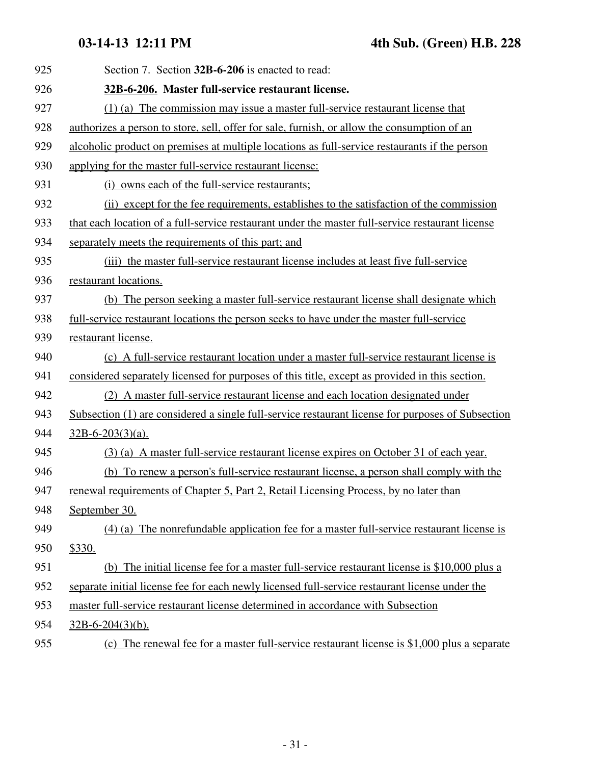| 925 | Section 7. Section 32B-6-206 is enacted to read:                                                  |
|-----|---------------------------------------------------------------------------------------------------|
| 926 | 32B-6-206. Master full-service restaurant license.                                                |
| 927 | $(1)$ (a) The commission may issue a master full-service restaurant license that                  |
| 928 | authorizes a person to store, sell, offer for sale, furnish, or allow the consumption of an       |
| 929 | alcoholic product on premises at multiple locations as full-service restaurants if the person     |
| 930 | applying for the master full-service restaurant license:                                          |
| 931 | (i) owns each of the full-service restaurants;                                                    |
| 932 | (ii) except for the fee requirements, establishes to the satisfaction of the commission           |
| 933 | that each location of a full-service restaurant under the master full-service restaurant license  |
| 934 | separately meets the requirements of this part; and                                               |
| 935 | (iii) the master full-service restaurant license includes at least five full-service              |
| 936 | restaurant locations.                                                                             |
| 937 | (b) The person seeking a master full-service restaurant license shall designate which             |
| 938 | full-service restaurant locations the person seeks to have under the master full-service          |
| 939 | restaurant license.                                                                               |
| 940 | (c) A full-service restaurant location under a master full-service restaurant license is          |
| 941 | considered separately licensed for purposes of this title, except as provided in this section.    |
| 942 | (2) A master full-service restaurant license and each location designated under                   |
| 943 | Subsection (1) are considered a single full-service restaurant license for purposes of Subsection |
| 944 | $32B-6-203(3)(a)$ .                                                                               |
| 945 | (3) (a) A master full-service restaurant license expires on October 31 of each year.              |
| 946 | (b) To renew a person's full-service restaurant license, a person shall comply with the           |
| 947 | renewal requirements of Chapter 5, Part 2, Retail Licensing Process, by no later than             |
| 948 | September 30.                                                                                     |
| 949 | $(4)$ (a) The nonrefundable application fee for a master full-service restaurant license is       |
| 950 | \$330.                                                                                            |
| 951 | (b) The initial license fee for a master full-service restaurant license is \$10,000 plus a       |
| 952 | separate initial license fee for each newly licensed full-service restaurant license under the    |
| 953 | master full-service restaurant license determined in accordance with Subsection                   |
| 954 | $32B-6-204(3)(b)$ .                                                                               |
| 955 | (c) The renewal fee for a master full-service restaurant license is \$1,000 plus a separate       |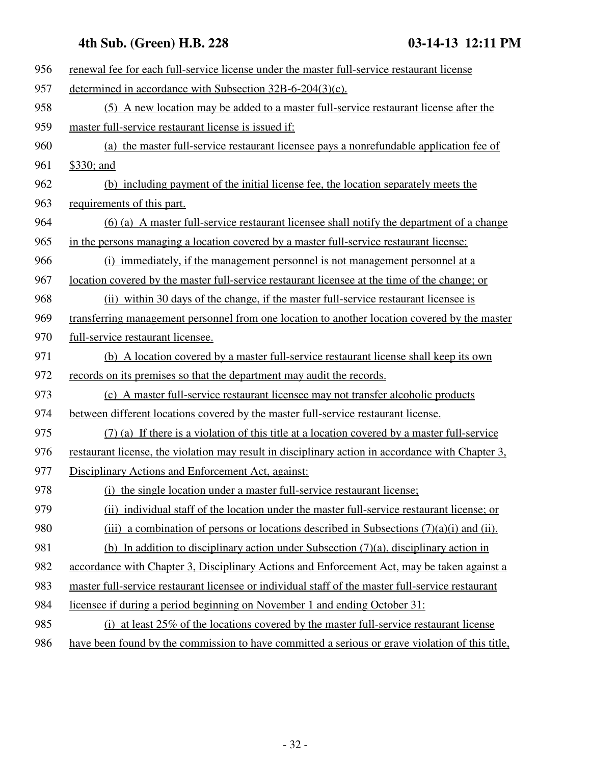| 956 | renewal fee for each full-service license under the master full-service restaurant license        |
|-----|---------------------------------------------------------------------------------------------------|
| 957 | determined in accordance with Subsection $32B-6-204(3)(c)$ .                                      |
| 958 | (5) A new location may be added to a master full-service restaurant license after the             |
| 959 | master full-service restaurant license is issued if:                                              |
| 960 | (a) the master full-service restaurant licensee pays a nonrefundable application fee of           |
| 961 | \$330; and                                                                                        |
| 962 | (b) including payment of the initial license fee, the location separately meets the               |
| 963 | requirements of this part.                                                                        |
| 964 | (6) (a) A master full-service restaurant licensee shall notify the department of a change         |
| 965 | in the persons managing a location covered by a master full-service restaurant license:           |
| 966 | (i) immediately, if the management personnel is not management personnel at a                     |
| 967 | location covered by the master full-service restaurant licensee at the time of the change; or     |
| 968 | (ii) within 30 days of the change, if the master full-service restaurant licensee is              |
| 969 | transferring management personnel from one location to another location covered by the master     |
| 970 | full-service restaurant licensee.                                                                 |
| 971 | (b) A location covered by a master full-service restaurant license shall keep its own             |
| 972 | records on its premises so that the department may audit the records.                             |
| 973 | (c) A master full-service restaurant licensee may not transfer alcoholic products                 |
| 974 | between different locations covered by the master full-service restaurant license.                |
| 975 | (7) (a) If there is a violation of this title at a location covered by a master full-service      |
| 976 | restaurant license, the violation may result in disciplinary action in accordance with Chapter 3, |
| 977 | Disciplinary Actions and Enforcement Act, against:                                                |
| 978 | (i) the single location under a master full-service restaurant license;                           |
| 979 | (ii) individual staff of the location under the master full-service restaurant license; or        |
| 980 | (iii) a combination of persons or locations described in Subsections $(7)(a)(i)$ and (ii).        |
| 981 | (b) In addition to disciplinary action under Subsection $(7)(a)$ , disciplinary action in         |
| 982 | accordance with Chapter 3, Disciplinary Actions and Enforcement Act, may be taken against a       |
| 983 | master full-service restaurant licensee or individual staff of the master full-service restaurant |
| 984 | licensee if during a period beginning on November 1 and ending October 31:                        |
| 985 | (i) at least 25% of the locations covered by the master full-service restaurant license           |
| 986 | have been found by the commission to have committed a serious or grave violation of this title,   |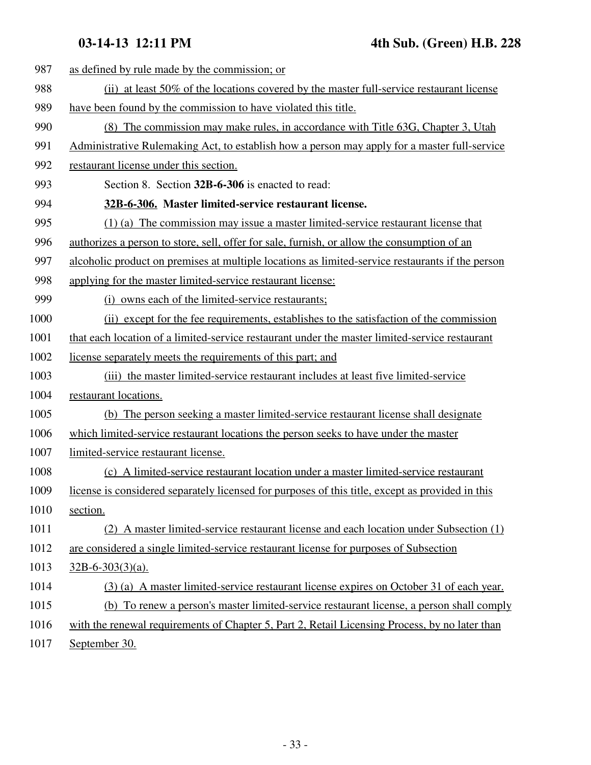| 987  | as defined by rule made by the commission; or                                                    |
|------|--------------------------------------------------------------------------------------------------|
| 988  | (ii) at least 50% of the locations covered by the master full-service restaurant license         |
| 989  | have been found by the commission to have violated this title.                                   |
| 990  | (8) The commission may make rules, in accordance with Title 63G, Chapter 3, Utah                 |
| 991  | Administrative Rulemaking Act, to establish how a person may apply for a master full-service     |
| 992  | restaurant license under this section.                                                           |
| 993  | Section 8. Section 32B-6-306 is enacted to read:                                                 |
| 994  | 32B-6-306. Master limited-service restaurant license.                                            |
| 995  | (1) (a) The commission may issue a master limited-service restaurant license that                |
| 996  | authorizes a person to store, sell, offer for sale, furnish, or allow the consumption of an      |
| 997  | alcoholic product on premises at multiple locations as limited-service restaurants if the person |
| 998  | applying for the master limited-service restaurant license:                                      |
| 999  | (i) owns each of the limited-service restaurants;                                                |
| 1000 | (ii) except for the fee requirements, establishes to the satisfaction of the commission          |
| 1001 | that each location of a limited-service restaurant under the master limited-service restaurant   |
| 1002 | license separately meets the requirements of this part; and                                      |
| 1003 | (iii) the master limited-service restaurant includes at least five limited-service               |
| 1004 | restaurant locations.                                                                            |
| 1005 | (b) The person seeking a master limited-service restaurant license shall designate               |
| 1006 | which limited-service restaurant locations the person seeks to have under the master             |
| 1007 | limited-service restaurant license.                                                              |
| 1008 | (c) A limited-service restaurant location under a master limited-service restaurant              |
| 1009 | license is considered separately licensed for purposes of this title, except as provided in this |
| 1010 | section.                                                                                         |
| 1011 | (2) A master limited-service restaurant license and each location under Subsection (1)           |
| 1012 | are considered a single limited-service restaurant license for purposes of Subsection            |
| 1013 | $32B-6-303(3)(a)$ .                                                                              |
| 1014 | (3) (a) A master limited-service restaurant license expires on October 31 of each year.          |
| 1015 | (b) To renew a person's master limited-service restaurant license, a person shall comply         |
| 1016 | with the renewal requirements of Chapter 5, Part 2, Retail Licensing Process, by no later than   |
|      |                                                                                                  |

1017 September 30.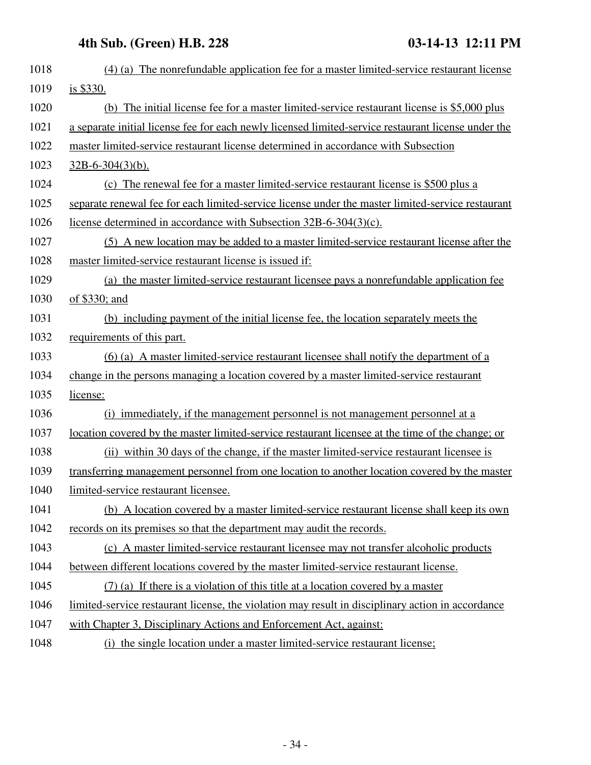| 1018 | (4) (a) The nonrefundable application fee for a master limited-service restaurant license               |
|------|---------------------------------------------------------------------------------------------------------|
| 1019 | is \$330.                                                                                               |
| 1020 | (b) The initial license fee for a master limited-service restaurant license is \$5,000 plus             |
| 1021 | a separate initial license fee for each newly licensed limited-service restaurant license under the     |
| 1022 | master limited-service restaurant license determined in accordance with Subsection                      |
| 1023 | $32B-6-304(3)(b)$ .                                                                                     |
| 1024 | (c) The renewal fee for a master limited-service restaurant license is \$500 plus a                     |
| 1025 | separate renewal fee for each limited-service license under the master limited-service restaurant       |
| 1026 | license determined in accordance with Subsection 32B-6-304(3)(c).                                       |
| 1027 | (5) A new location may be added to a master limited-service restaurant license after the                |
| 1028 | master limited-service restaurant license is issued if:                                                 |
| 1029 | (a) the master limited-service restaurant licensee pays a nonrefundable application fee                 |
| 1030 | of \$330; and                                                                                           |
| 1031 | (b) including payment of the initial license fee, the location separately meets the                     |
| 1032 | requirements of this part.                                                                              |
| 1033 | (6) (a) A master limited-service restaurant licensee shall notify the department of a                   |
| 1034 | change in the persons managing a location covered by a master limited-service restaurant                |
| 1035 | license:                                                                                                |
| 1036 | (i) immediately, if the management personnel is not management personnel at a                           |
| 1037 | <u>location covered by the master limited-service restaurant licensee at the time of the change; or</u> |
| 1038 | (ii) within 30 days of the change, if the master limited-service restaurant licensee is                 |
| 1039 | transferring management personnel from one location to another location covered by the master           |
| 1040 | limited-service restaurant licensee.                                                                    |
| 1041 | (b) A location covered by a master limited-service restaurant license shall keep its own                |
| 1042 | records on its premises so that the department may audit the records.                                   |
| 1043 | (c) A master limited-service restaurant licensee may not transfer alcoholic products                    |
| 1044 | between different locations covered by the master limited-service restaurant license.                   |
| 1045 | $(7)$ (a) If there is a violation of this title at a location covered by a master                       |
| 1046 | limited-service restaurant license, the violation may result in disciplinary action in accordance       |
| 1047 | with Chapter 3, Disciplinary Actions and Enforcement Act, against:                                      |
| 1048 | (i) the single location under a master limited-service restaurant license;                              |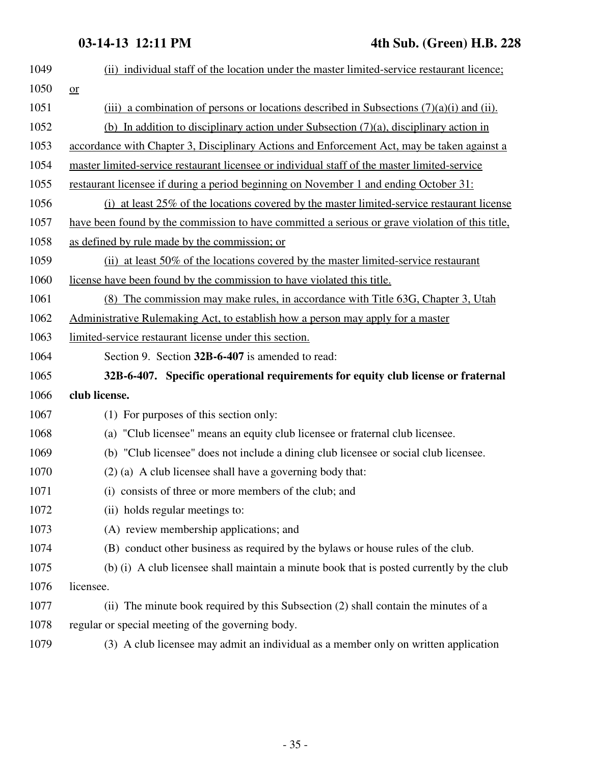| 1049 | (ii) individual staff of the location under the master limited-service restaurant licence;      |
|------|-------------------------------------------------------------------------------------------------|
| 1050 | or                                                                                              |
| 1051 | (iii) a combination of persons or locations described in Subsections $(7)(a)(i)$ and (ii).      |
| 1052 | (b) In addition to disciplinary action under Subsection $(7)(a)$ , disciplinary action in       |
| 1053 | accordance with Chapter 3, Disciplinary Actions and Enforcement Act, may be taken against a     |
| 1054 | master limited-service restaurant licensee or individual staff of the master limited-service    |
| 1055 | restaurant licensee if during a period beginning on November 1 and ending October 31:           |
| 1056 | (i) at least $25\%$ of the locations covered by the master limited-service restaurant license   |
| 1057 | have been found by the commission to have committed a serious or grave violation of this title, |
| 1058 | as defined by rule made by the commission; or                                                   |
| 1059 | (ii) at least 50% of the locations covered by the master limited-service restaurant             |
| 1060 | license have been found by the commission to have violated this title.                          |
| 1061 | (8) The commission may make rules, in accordance with Title 63G, Chapter 3, Utah                |
| 1062 | <u>Administrative Rulemaking Act, to establish how a person may apply for a master</u>          |
| 1063 | limited-service restaurant license under this section.                                          |
| 1064 | Section 9. Section 32B-6-407 is amended to read:                                                |
| 1065 | 32B-6-407. Specific operational requirements for equity club license or fraternal               |
| 1066 | club license.                                                                                   |
| 1067 | (1) For purposes of this section only:                                                          |
| 1068 | (a) "Club licensee" means an equity club licensee or fraternal club licensee.                   |
| 1069 | (b) "Club licensee" does not include a dining club licensee or social club licensee.            |
| 1070 | (2) (a) A club licensee shall have a governing body that:                                       |
| 1071 | (i) consists of three or more members of the club; and                                          |
| 1072 | (ii) holds regular meetings to:                                                                 |
| 1073 | (A) review membership applications; and                                                         |
| 1074 | (B) conduct other business as required by the bylaws or house rules of the club.                |
| 1075 | (b) (i) A club licensee shall maintain a minute book that is posted currently by the club       |
| 1076 | licensee.                                                                                       |
| 1077 | (ii) The minute book required by this Subsection (2) shall contain the minutes of a             |
| 1078 | regular or special meeting of the governing body.                                               |
| 1079 | (3) A club licensee may admit an individual as a member only on written application             |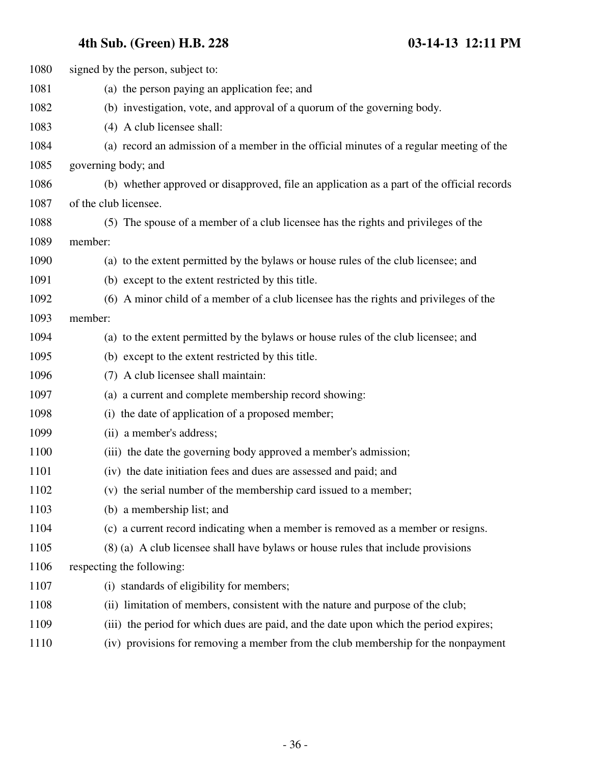| 1080 | signed by the person, subject to:                                                          |
|------|--------------------------------------------------------------------------------------------|
| 1081 | (a) the person paying an application fee; and                                              |
| 1082 | (b) investigation, vote, and approval of a quorum of the governing body.                   |
| 1083 | (4) A club licensee shall:                                                                 |
| 1084 | (a) record an admission of a member in the official minutes of a regular meeting of the    |
| 1085 | governing body; and                                                                        |
| 1086 | (b) whether approved or disapproved, file an application as a part of the official records |
| 1087 | of the club licensee.                                                                      |
| 1088 | (5) The spouse of a member of a club licensee has the rights and privileges of the         |
| 1089 | member:                                                                                    |
| 1090 | (a) to the extent permitted by the bylaws or house rules of the club licensee; and         |
| 1091 | (b) except to the extent restricted by this title.                                         |
| 1092 | (6) A minor child of a member of a club licensee has the rights and privileges of the      |
| 1093 | member:                                                                                    |
| 1094 | (a) to the extent permitted by the bylaws or house rules of the club licensee; and         |
| 1095 | (b) except to the extent restricted by this title.                                         |
| 1096 | (7) A club licensee shall maintain:                                                        |
| 1097 | (a) a current and complete membership record showing:                                      |
| 1098 | (i) the date of application of a proposed member;                                          |
| 1099 | (ii) a member's address;                                                                   |
| 1100 | (iii) the date the governing body approved a member's admission;                           |
| 1101 | (iv) the date initiation fees and dues are assessed and paid; and                          |
| 1102 | (v) the serial number of the membership card issued to a member;                           |
| 1103 | (b) a membership list; and                                                                 |
| 1104 | (c) a current record indicating when a member is removed as a member or resigns.           |
| 1105 | (8) (a) A club licensee shall have bylaws or house rules that include provisions           |
| 1106 | respecting the following:                                                                  |
| 1107 | (i) standards of eligibility for members;                                                  |
| 1108 | (ii) limitation of members, consistent with the nature and purpose of the club;            |
| 1109 | (iii) the period for which dues are paid, and the date upon which the period expires;      |
| 1110 | (iv) provisions for removing a member from the club membership for the nonpayment          |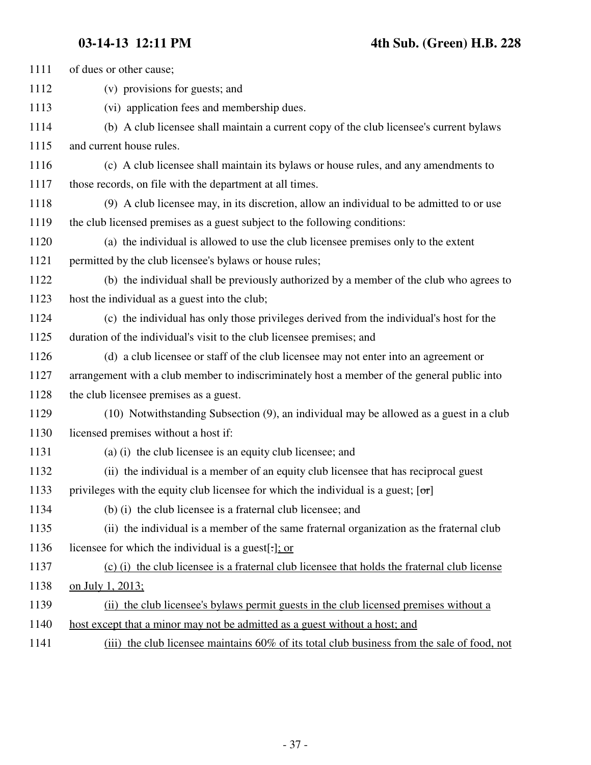| 1111 | of dues or other cause;                                                                      |
|------|----------------------------------------------------------------------------------------------|
| 1112 | (v) provisions for guests; and                                                               |
| 1113 | (vi) application fees and membership dues.                                                   |
| 1114 | (b) A club licensee shall maintain a current copy of the club licensee's current bylaws      |
| 1115 | and current house rules.                                                                     |
| 1116 | (c) A club licensee shall maintain its bylaws or house rules, and any amendments to          |
| 1117 | those records, on file with the department at all times.                                     |
| 1118 | (9) A club licensee may, in its discretion, allow an individual to be admitted to or use     |
| 1119 | the club licensed premises as a guest subject to the following conditions:                   |
| 1120 | (a) the individual is allowed to use the club licensee premises only to the extent           |
| 1121 | permitted by the club licensee's bylaws or house rules;                                      |
| 1122 | (b) the individual shall be previously authorized by a member of the club who agrees to      |
| 1123 | host the individual as a guest into the club;                                                |
| 1124 | (c) the individual has only those privileges derived from the individual's host for the      |
| 1125 | duration of the individual's visit to the club licensee premises; and                        |
| 1126 | (d) a club licensee or staff of the club licensee may not enter into an agreement or         |
| 1127 | arrangement with a club member to indiscriminately host a member of the general public into  |
| 1128 | the club licensee premises as a guest.                                                       |
| 1129 | (10) Notwithstanding Subsection (9), an individual may be allowed as a guest in a club       |
| 1130 | licensed premises without a host if:                                                         |
| 1131 | (a) (i) the club licensee is an equity club licensee; and                                    |
| 1132 | (ii) the individual is a member of an equity club licensee that has reciprocal guest         |
| 1133 | privileges with the equity club licensee for which the individual is a guest; $[\sigma r]$   |
| 1134 | (b) (i) the club licensee is a fraternal club licensee; and                                  |
| 1135 | (ii) the individual is a member of the same fraternal organization as the fraternal club     |
| 1136 | licensee for which the individual is a guest[-]; or                                          |
| 1137 | (c) (i) the club licensee is a fraternal club licensee that holds the fraternal club license |
| 1138 | on July 1, 2013;                                                                             |
| 1139 | (ii) the club licensee's bylaws permit guests in the club licensed premises without a        |
| 1140 | host except that a minor may not be admitted as a guest without a host; and                  |
| 1141 | (iii) the club licensee maintains 60% of its total club business from the sale of food, not  |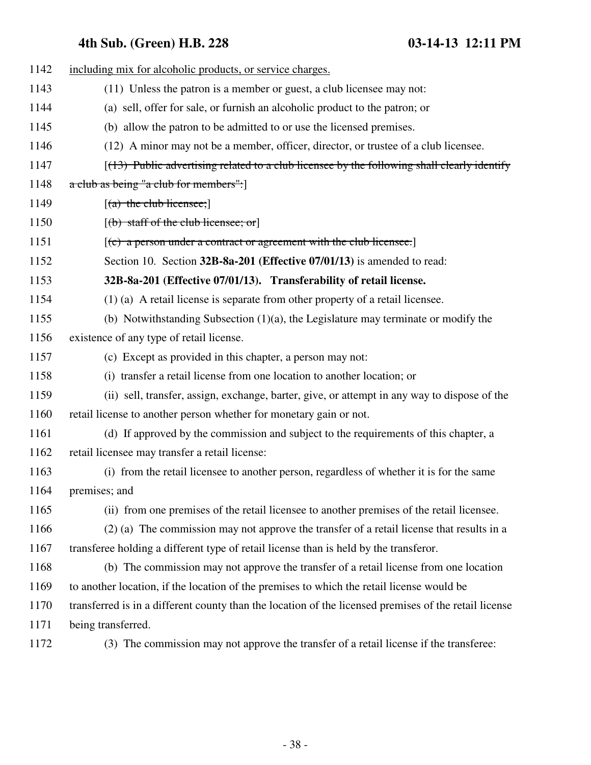| 1142 | including mix for alcoholic products, or service charges.                                             |
|------|-------------------------------------------------------------------------------------------------------|
| 1143 | (11) Unless the patron is a member or guest, a club licensee may not:                                 |
| 1144 | (a) sell, offer for sale, or furnish an alcoholic product to the patron; or                           |
| 1145 | (b) allow the patron to be admitted to or use the licensed premises.                                  |
| 1146 | (12) A minor may not be a member, officer, director, or trustee of a club licensee.                   |
| 1147 | $(13)$ Public advertising related to a club licensee by the following shall clearly identify          |
| 1148 | a club as being "a club for members":                                                                 |
| 1149 | $[(a)$ the club licensee;                                                                             |
| 1150 | $[$ (b) staff of the club licensee; or]                                                               |
| 1151 | $[$ (c) a person under a contract or agreement with the club licensee.]                               |
| 1152 | Section 10. Section 32B-8a-201 (Effective 07/01/13) is amended to read:                               |
| 1153 | 32B-8a-201 (Effective 07/01/13). Transferability of retail license.                                   |
| 1154 | $(1)$ (a) A retail license is separate from other property of a retail licensee.                      |
| 1155 | (b) Notwithstanding Subsection $(1)(a)$ , the Legislature may terminate or modify the                 |
| 1156 | existence of any type of retail license.                                                              |
| 1157 | (c) Except as provided in this chapter, a person may not:                                             |
| 1158 | (i) transfer a retail license from one location to another location; or                               |
| 1159 | (ii) sell, transfer, assign, exchange, barter, give, or attempt in any way to dispose of the          |
| 1160 | retail license to another person whether for monetary gain or not.                                    |
| 1161 | (d) If approved by the commission and subject to the requirements of this chapter, a                  |
| 1162 | retail licensee may transfer a retail license:                                                        |
| 1163 | (i) from the retail licensee to another person, regardless of whether it is for the same              |
| 1164 | premises; and                                                                                         |
| 1165 | (ii) from one premises of the retail licensee to another premises of the retail licensee.             |
| 1166 | (2) (a) The commission may not approve the transfer of a retail license that results in a             |
| 1167 | transferee holding a different type of retail license than is held by the transferor.                 |
| 1168 | (b) The commission may not approve the transfer of a retail license from one location                 |
| 1169 | to another location, if the location of the premises to which the retail license would be             |
| 1170 | transferred is in a different county than the location of the licensed premises of the retail license |
| 1171 | being transferred.                                                                                    |
| 1172 | (3) The commission may not approve the transfer of a retail license if the transferee:                |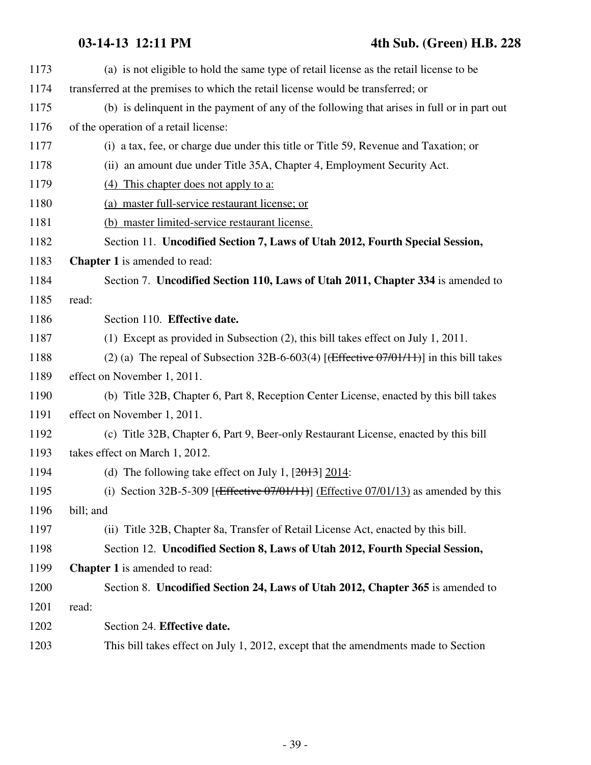### **03-14-13 12:11 PM 4th Sub. (Green) H.B. 228**

| 1173 | (a) is not eligible to hold the same type of retail license as the retail license to be                        |
|------|----------------------------------------------------------------------------------------------------------------|
| 1174 | transferred at the premises to which the retail license would be transferred; or                               |
| 1175 | (b) is delinquent in the payment of any of the following that arises in full or in part out                    |
| 1176 | of the operation of a retail license:                                                                          |
| 1177 | (i) a tax, fee, or charge due under this title or Title 59, Revenue and Taxation; or                           |
| 1178 | (ii) an amount due under Title 35A, Chapter 4, Employment Security Act.                                        |
| 1179 | (4) This chapter does not apply to a:                                                                          |
| 1180 | (a) master full-service restaurant license; or                                                                 |
| 1181 | (b) master limited-service restaurant license.                                                                 |
| 1182 | Section 11. Uncodified Section 7, Laws of Utah 2012, Fourth Special Session,                                   |
| 1183 | <b>Chapter 1</b> is amended to read:                                                                           |
| 1184 | Section 7. Uncodified Section 110, Laws of Utah 2011, Chapter 334 is amended to                                |
| 1185 | read:                                                                                                          |
| 1186 | Section 110. Effective date.                                                                                   |
| 1187 | (1) Except as provided in Subsection (2), this bill takes effect on July 1, 2011.                              |
| 1188 | (2) (a) The repeal of Subsection 32B-6-603(4) [ $f$ Effective 07/01/11)] in this bill takes                    |
| 1189 | effect on November 1, 2011.                                                                                    |
| 1190 | (b) Title 32B, Chapter 6, Part 8, Reception Center License, enacted by this bill takes                         |
| 1191 | effect on November 1, 2011.                                                                                    |
| 1192 | (c) Title 32B, Chapter 6, Part 9, Beer-only Restaurant License, enacted by this bill                           |
| 1193 | takes effect on March 1, 2012.                                                                                 |
| 1194 | (d) The following take effect on July 1, $[2013]$ 2014:                                                        |
| 1195 | (i) Section 32B-5-309 [ $\left(\frac{f}{f} \left( \frac{f}{f} \right)$ (Effective 07/01/13) as amended by this |
| 1196 | bill; and                                                                                                      |
| 1197 | (ii) Title 32B, Chapter 8a, Transfer of Retail License Act, enacted by this bill.                              |
| 1198 | Section 12. Uncodified Section 8, Laws of Utah 2012, Fourth Special Session,                                   |
| 1199 | <b>Chapter 1</b> is amended to read:                                                                           |
| 1200 | Section 8. Uncodified Section 24, Laws of Utah 2012, Chapter 365 is amended to                                 |
| 1201 | read:                                                                                                          |
| 1202 | Section 24. Effective date.                                                                                    |
| 1203 | This bill takes effect on July 1, 2012, except that the amendments made to Section                             |